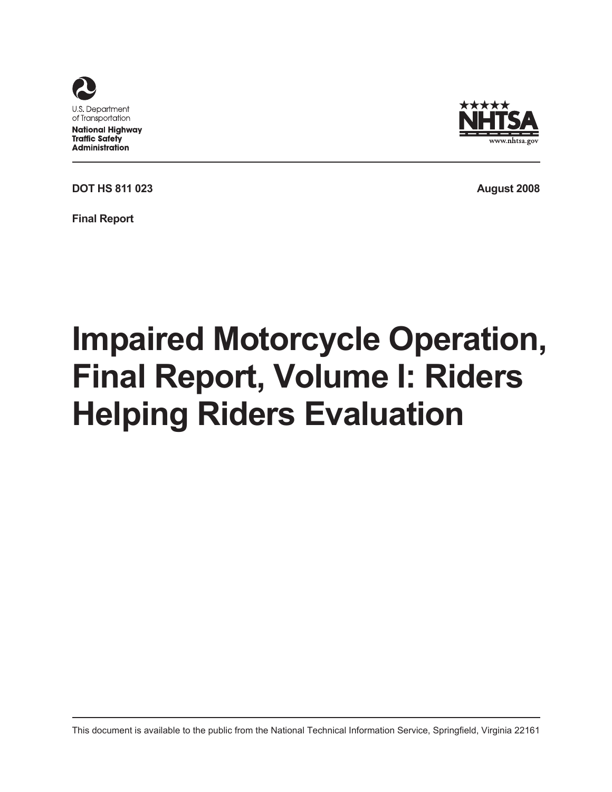

**National Highway Traffic Safety Administration** 



**DOT HS 811 023 August 2008**

**Final Report**

## **Impaired Motorcycle Operation, Final Report, Volume I: Riders Helping Riders Evaluation**

This document is available to the public from the National Technical Information Service, Springfield, Virginia 22161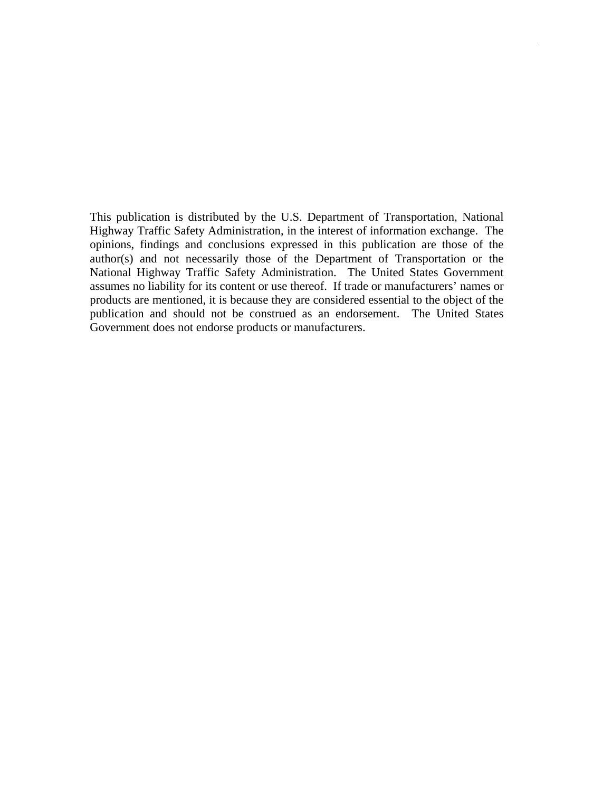This publication is distributed by the U.S. Department of Transportation, National Highway Traffic Safety Administration, in the interest of information exchange. The opinions, findings and conclusions expressed in this publication are those of the author(s) and not necessarily those of the Department of Transportation or the National Highway Traffic Safety Administration. The United States Government assumes no liability for its content or use thereof. If trade or manufacturers' names or products are mentioned, it is because they are considered essential to the object of the publication and should not be construed as an endorsement. The United States Government does not endorse products or manufacturers.

.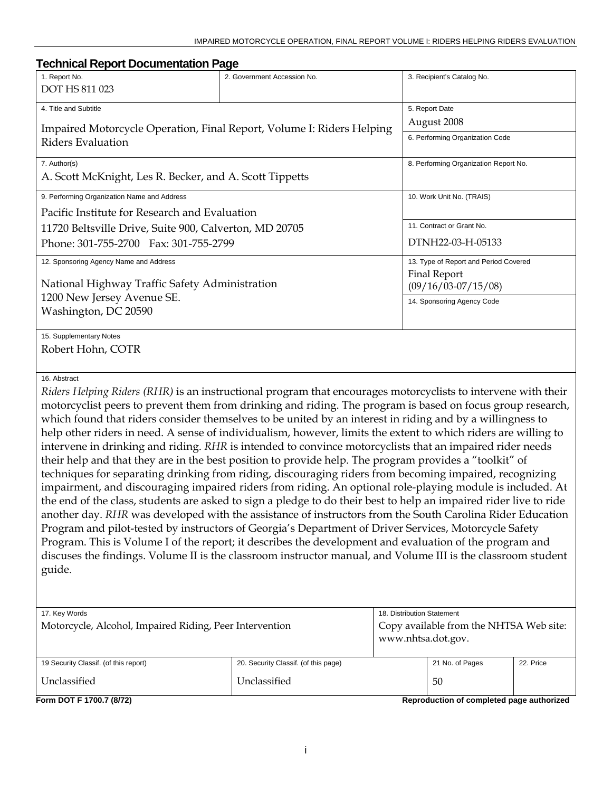<span id="page-2-0"></span>

| <b>Technical Report Documentation Page</b>                                                                                                                                                                                                                                                                                                                                                                                                                                                                                                                                                                                                                                                                                                                                                                                                                                                                                                                                                                                                                                                                                                                                                                                                                                                                                                                                                                                                                                                               |                                      |                                                                                             |                            |           |  |
|----------------------------------------------------------------------------------------------------------------------------------------------------------------------------------------------------------------------------------------------------------------------------------------------------------------------------------------------------------------------------------------------------------------------------------------------------------------------------------------------------------------------------------------------------------------------------------------------------------------------------------------------------------------------------------------------------------------------------------------------------------------------------------------------------------------------------------------------------------------------------------------------------------------------------------------------------------------------------------------------------------------------------------------------------------------------------------------------------------------------------------------------------------------------------------------------------------------------------------------------------------------------------------------------------------------------------------------------------------------------------------------------------------------------------------------------------------------------------------------------------------|--------------------------------------|---------------------------------------------------------------------------------------------|----------------------------|-----------|--|
| 1. Report No.<br>DOT HS 811 023                                                                                                                                                                                                                                                                                                                                                                                                                                                                                                                                                                                                                                                                                                                                                                                                                                                                                                                                                                                                                                                                                                                                                                                                                                                                                                                                                                                                                                                                          | 2. Government Accession No.          |                                                                                             | 3. Recipient's Catalog No. |           |  |
| 4. Title and Subtitle                                                                                                                                                                                                                                                                                                                                                                                                                                                                                                                                                                                                                                                                                                                                                                                                                                                                                                                                                                                                                                                                                                                                                                                                                                                                                                                                                                                                                                                                                    |                                      | 5. Report Date                                                                              |                            |           |  |
| Impaired Motorcycle Operation, Final Report, Volume I: Riders Helping                                                                                                                                                                                                                                                                                                                                                                                                                                                                                                                                                                                                                                                                                                                                                                                                                                                                                                                                                                                                                                                                                                                                                                                                                                                                                                                                                                                                                                    |                                      |                                                                                             | August 2008                |           |  |
| <b>Riders Evaluation</b>                                                                                                                                                                                                                                                                                                                                                                                                                                                                                                                                                                                                                                                                                                                                                                                                                                                                                                                                                                                                                                                                                                                                                                                                                                                                                                                                                                                                                                                                                 |                                      | 6. Performing Organization Code                                                             |                            |           |  |
| 7. Author(s)<br>A. Scott McKnight, Les R. Becker, and A. Scott Tippetts                                                                                                                                                                                                                                                                                                                                                                                                                                                                                                                                                                                                                                                                                                                                                                                                                                                                                                                                                                                                                                                                                                                                                                                                                                                                                                                                                                                                                                  |                                      | 8. Performing Organization Report No.                                                       |                            |           |  |
| 9. Performing Organization Name and Address                                                                                                                                                                                                                                                                                                                                                                                                                                                                                                                                                                                                                                                                                                                                                                                                                                                                                                                                                                                                                                                                                                                                                                                                                                                                                                                                                                                                                                                              |                                      |                                                                                             | 10. Work Unit No. (TRAIS)  |           |  |
| Pacific Institute for Research and Evaluation                                                                                                                                                                                                                                                                                                                                                                                                                                                                                                                                                                                                                                                                                                                                                                                                                                                                                                                                                                                                                                                                                                                                                                                                                                                                                                                                                                                                                                                            |                                      |                                                                                             |                            |           |  |
| 11720 Beltsville Drive, Suite 900, Calverton, MD 20705                                                                                                                                                                                                                                                                                                                                                                                                                                                                                                                                                                                                                                                                                                                                                                                                                                                                                                                                                                                                                                                                                                                                                                                                                                                                                                                                                                                                                                                   |                                      |                                                                                             | 11. Contract or Grant No.  |           |  |
| Phone: 301-755-2700 Fax: 301-755-2799                                                                                                                                                                                                                                                                                                                                                                                                                                                                                                                                                                                                                                                                                                                                                                                                                                                                                                                                                                                                                                                                                                                                                                                                                                                                                                                                                                                                                                                                    |                                      |                                                                                             | DTNH22-03-H-05133          |           |  |
| 12. Sponsoring Agency Name and Address<br>National Highway Traffic Safety Administration<br>1200 New Jersey Avenue SE.                                                                                                                                                                                                                                                                                                                                                                                                                                                                                                                                                                                                                                                                                                                                                                                                                                                                                                                                                                                                                                                                                                                                                                                                                                                                                                                                                                                   |                                      | 13. Type of Report and Period Covered<br><b>Final Report</b><br>$(09/16/03-07/15/08)$       |                            |           |  |
| Washington, DC 20590                                                                                                                                                                                                                                                                                                                                                                                                                                                                                                                                                                                                                                                                                                                                                                                                                                                                                                                                                                                                                                                                                                                                                                                                                                                                                                                                                                                                                                                                                     |                                      |                                                                                             | 14. Sponsoring Agency Code |           |  |
| 15. Supplementary Notes<br>Robert Hohn, COTR                                                                                                                                                                                                                                                                                                                                                                                                                                                                                                                                                                                                                                                                                                                                                                                                                                                                                                                                                                                                                                                                                                                                                                                                                                                                                                                                                                                                                                                             |                                      |                                                                                             |                            |           |  |
| 16. Abstract<br>Riders Helping Riders (RHR) is an instructional program that encourages motorcyclists to intervene with their<br>motorcyclist peers to prevent them from drinking and riding. The program is based on focus group research,<br>which found that riders consider themselves to be united by an interest in riding and by a willingness to<br>help other riders in need. A sense of individualism, however, limits the extent to which riders are willing to<br>intervene in drinking and riding. RHR is intended to convince motorcyclists that an impaired rider needs<br>their help and that they are in the best position to provide help. The program provides a "toolkit" of<br>techniques for separating drinking from riding, discouraging riders from becoming impaired, recognizing<br>impairment, and discouraging impaired riders from riding. An optional role-playing module is included. At<br>the end of the class, students are asked to sign a pledge to do their best to help an impaired rider live to ride<br>another day. RHR was developed with the assistance of instructors from the South Carolina Rider Education<br>Program and pilot-tested by instructors of Georgia's Department of Driver Services, Motorcycle Safety<br>Program. This is Volume I of the report; it describes the development and evaluation of the program and<br>discuses the findings. Volume II is the classroom instructor manual, and Volume III is the classroom student<br>guide. |                                      |                                                                                             |                            |           |  |
| 17. Key Words<br>Motorcycle, Alcohol, Impaired Riding, Peer Intervention                                                                                                                                                                                                                                                                                                                                                                                                                                                                                                                                                                                                                                                                                                                                                                                                                                                                                                                                                                                                                                                                                                                                                                                                                                                                                                                                                                                                                                 |                                      | 18. Distribution Statement<br>Copy available from the NHTSA Web site:<br>www.nhtsa.dot.gov. |                            |           |  |
| 19 Security Classif. (of this report)                                                                                                                                                                                                                                                                                                                                                                                                                                                                                                                                                                                                                                                                                                                                                                                                                                                                                                                                                                                                                                                                                                                                                                                                                                                                                                                                                                                                                                                                    | 20. Security Classif. (of this page) |                                                                                             | 21 No. of Pages            | 22. Price |  |
| Unclassified                                                                                                                                                                                                                                                                                                                                                                                                                                                                                                                                                                                                                                                                                                                                                                                                                                                                                                                                                                                                                                                                                                                                                                                                                                                                                                                                                                                                                                                                                             | Unclassified                         |                                                                                             | 50                         |           |  |

Unclassified

**Form DOT F 1700.7 (8/72)** Reproduction of completed page authorized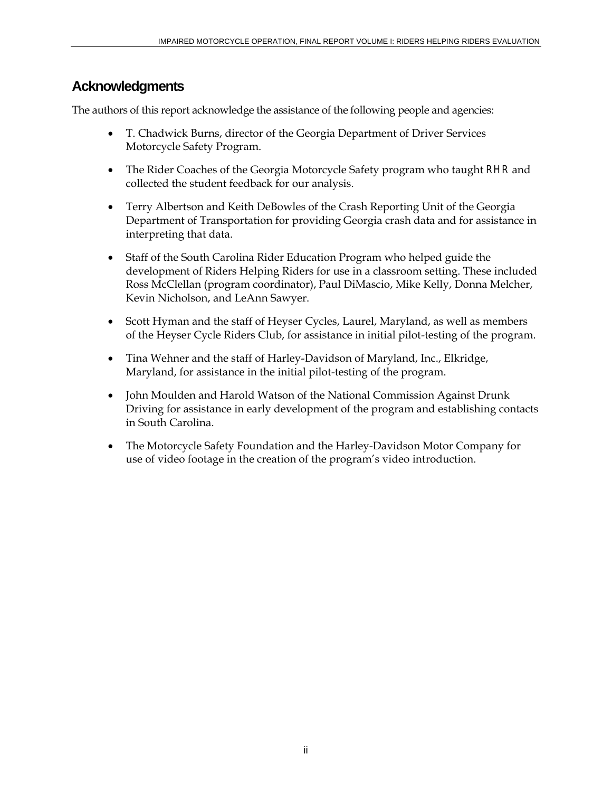#### <span id="page-3-0"></span>**Acknowledgments**

The authors of this report acknowledge the assistance of the following people and agencies:

- • T. Chadwick Burns, director of the Georgia Department of Driver Services Motorcycle Safety Program.
- The Rider Coaches of the Georgia Motorcycle Safety program who taught *RHR* and collected the student feedback for our analysis.
- Terry Albertson and Keith DeBowles of the Crash Reporting Unit of the Georgia Department of Transportation for providing Georgia crash data and for assistance in interpreting that data.
- Staff of the South Carolina Rider Education Program who helped guide the development of Riders Helping Riders for use in a classroom setting. These included Ross McClellan (program coordinator), Paul DiMascio, Mike Kelly, Donna Melcher, Kevin Nicholson, and LeAnn Sawyer.
- Scott Hyman and the staff of Heyser Cycles, Laurel, Maryland, as well as members of the Heyser Cycle Riders Club, for assistance in initial pilot-testing of the program.
- Tina Wehner and the staff of Harley-Davidson of Maryland, Inc., Elkridge, Maryland, for assistance in the initial pilot-testing of the program.
- John Moulden and Harold Watson of the National Commission Against Drunk Driving for assistance in early development of the program and establishing contacts in South Carolina.
- The Motorcycle Safety Foundation and the Harley-Davidson Motor Company for use of video footage in the creation of the program's video introduction.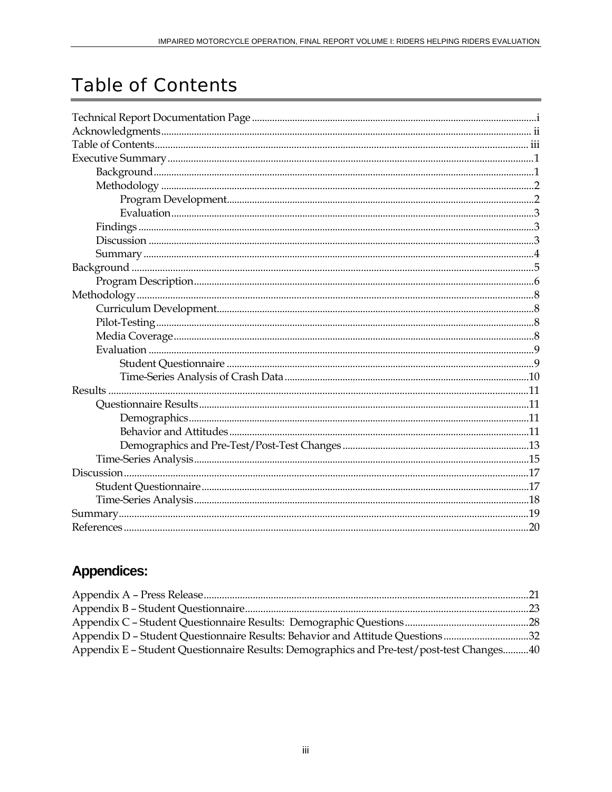## **Table of Contents**

#### **Appendices:**

| Appendix D – Student Questionnaire Results: Behavior and Attitude Questions32             |  |
|-------------------------------------------------------------------------------------------|--|
| Appendix E - Student Questionnaire Results: Demographics and Pre-test/post-test Changes40 |  |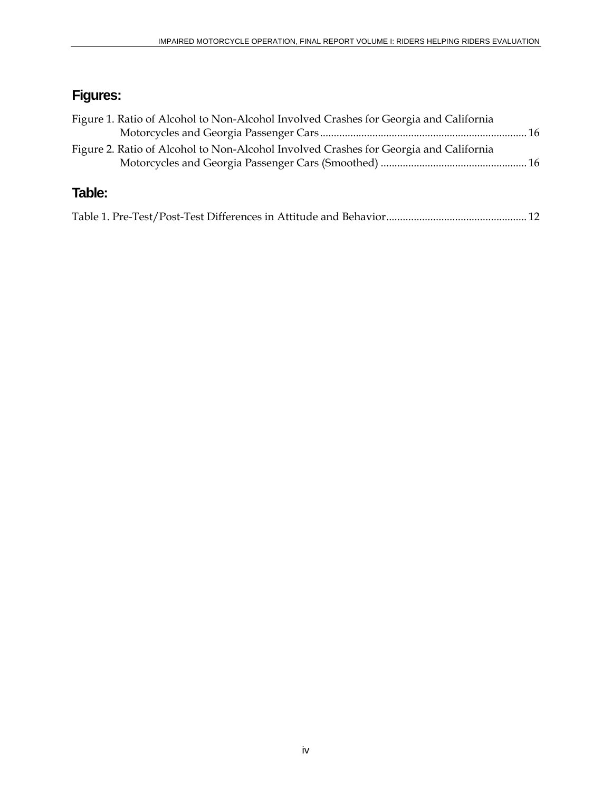#### **Figures:**

| Figure 1. Ratio of Alcohol to Non-Alcohol Involved Crashes for Georgia and California |  |
|---------------------------------------------------------------------------------------|--|
|                                                                                       |  |
| Figure 2. Ratio of Alcohol to Non-Alcohol Involved Crashes for Georgia and California |  |
|                                                                                       |  |
|                                                                                       |  |

#### **Table:**

|--|--|--|--|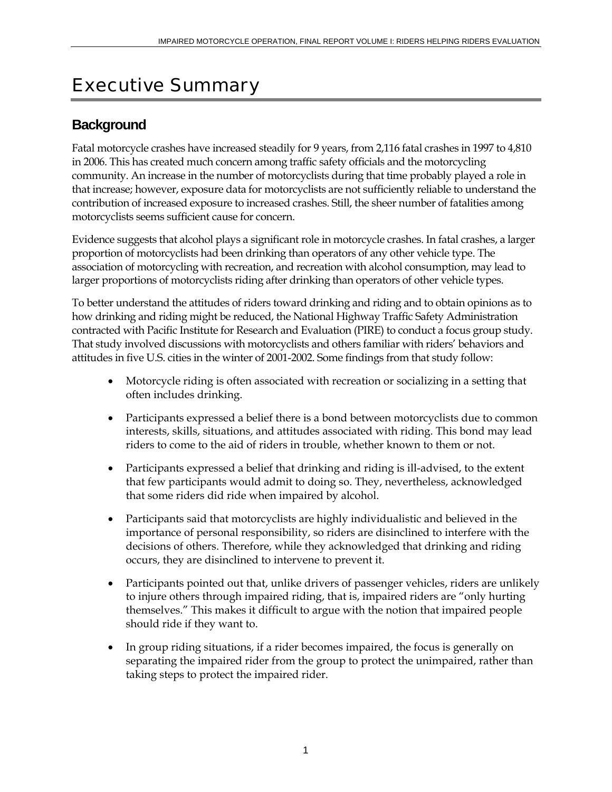## <span id="page-6-0"></span>Executive Summary

#### **Background**

motorcyclists seems sufficient cause for concern. Fatal motorcycle crashes have increased steadily for 9 years, from 2,116 fatal crashes in 1997 to 4,810 in 2006. This has created much concern among traffic safety officials and the motorcycling community. An increase in the number of motorcyclists during that time probably played a role in that increase; however, exposure data for motorcyclists are not sufficiently reliable to understand the contribution of increased exposure to increased crashes. Still, the sheer number of fatalities among

Evidence suggests that alcohol plays a significant role in motorcycle crashes. In fatal crashes, a larger proportion of motorcyclists had been drinking than operators of any other vehicle type. The association of motorcycling with recreation, and recreation with alcohol consumption, may lead to larger proportions of motorcyclists riding after drinking than operators of other vehicle types.

how drinking and riding might be reduced, the National Highway Traffic Safety Administration To better understand the attitudes of riders toward drinking and riding and to obtain opinions as to contracted with Pacific Institute for Research and Evaluation (PIRE) to conduct a focus group study. That study involved discussions with motorcyclists and others familiar with riders' behaviors and attitudes in five U.S. cities in the winter of 2001-2002. Some findings from that study follow:

- Motorcycle riding is often associated with recreation or socializing in a setting that often includes drinking.
- Participants expressed a belief there is a bond between motorcyclists due to common interests, skills, situations, and attitudes associated with riding. This bond may lead riders to come to the aid of riders in trouble, whether known to them or not.
- Participants expressed a belief that drinking and riding is ill-advised, to the extent that few participants would admit to doing so. They, nevertheless, acknowledged that some riders did ride when impaired by alcohol.
- Participants said that motorcyclists are highly individualistic and believed in the importance of personal responsibility, so riders are disinclined to interfere with the decisions of others. Therefore, while they acknowledged that drinking and riding occurs, they are disinclined to intervene to prevent it.
- Participants pointed out that, unlike drivers of passenger vehicles, riders are unlikely to injure others through impaired riding, that is, impaired riders are "only hurting themselves." This makes it difficult to argue with the notion that impaired people should ride if they want to.
- In group riding situations, if a rider becomes impaired, the focus is generally on separating the impaired rider from the group to protect the unimpaired, rather than taking steps to protect the impaired rider.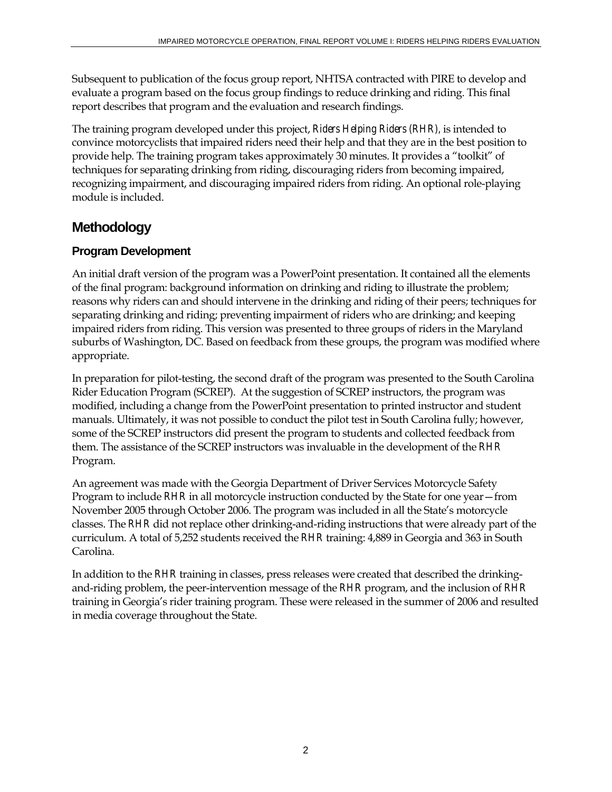<span id="page-7-0"></span>Subsequent to publication of the focus group report, NHTSA contracted with PIRE to develop and evaluate a program based on the focus group findings to reduce drinking and riding. This final report describes that program and the evaluation and research findings.

The training program developed under this project, *Riders Helping Riders (RHR),* is intended to convince motorcyclists that impaired riders need their help and that they are in the best position to provide help. The training program takes approximately 30 minutes. It provides a "toolkit" of techniques for separating drinking from riding, discouraging riders from becoming impaired, recognizing impairment, and discouraging impaired riders from riding. An optional role-playing module is included.

#### **Methodology**

#### **Program Development**

An initial draft version of the program was a PowerPoint presentation. It contained all the elements of the final program: background information on drinking and riding to illustrate the problem; reasons why riders can and should intervene in the drinking and riding of their peers; techniques for separating drinking and riding; preventing impairment of riders who are drinking; and keeping impaired riders from riding. This version was presented to three groups of riders in the Maryland suburbs of Washington, DC. Based on feedback from these groups, the program was modified where appropriate.

Program. In preparation for pilot-testing, the second draft of the program was presented to the South Carolina Rider Education Program (SCREP). At the suggestion of SCREP instructors, the program was modified, including a change from the PowerPoint presentation to printed instructor and student manuals. Ultimately, it was not possible to conduct the pilot test in South Carolina fully; however, some of the SCREP instructors did present the program to students and collected feedback from them. The assistance of the SCREP instructors was invaluable in the development of the *RHR* 

An agreement was made with the Georgia Department of Driver Services Motorcycle Safety Program to include *RHR* in all motorcycle instruction conducted by the State for one year—from November 2005 through October 2006. The program was included in all the State's motorcycle classes. The *RHR* did not replace other drinking-and-riding instructions that were already part of the curriculum. A total of 5,252 students received the *RHR* training: 4,889 in Georgia and 363 in South Carolina.

In addition to the *RHR* training in classes, press releases were created that described the drinkingand-riding problem, the peer-intervention message of the *RHR* program, and the inclusion of *RHR*  training in Georgia's rider training program. These were released in the summer of 2006 and resulted in media coverage throughout the State.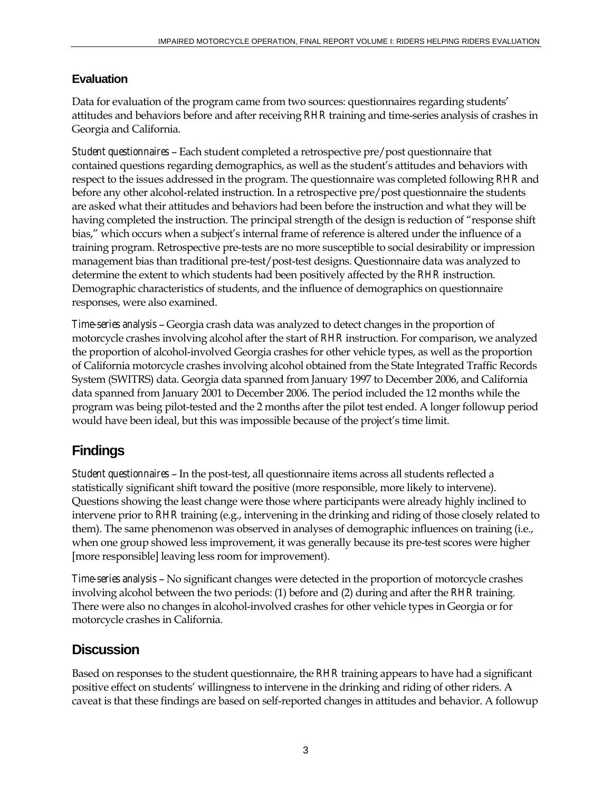#### <span id="page-8-0"></span>**Evaluation**

Data for evaluation of the program came from two sources: questionnaires regarding students' attitudes and behaviors before and after receiving *RHR* training and time-series analysis of crashes in Georgia and California.

 responses, were also examined. *Student questionnaires* – Each student completed a retrospective pre/post questionnaire that contained questions regarding demographics, as well as the student's attitudes and behaviors with respect to the issues addressed in the program. The questionnaire was completed following *RHR* and before any other alcohol-related instruction. In a retrospective pre/post questionnaire the students are asked what their attitudes and behaviors had been before the instruction and what they will be having completed the instruction. The principal strength of the design is reduction of "response shift bias," which occurs when a subject's internal frame of reference is altered under the influence of a training program. Retrospective pre-tests are no more susceptible to social desirability or impression management bias than traditional pre-test/post-test designs. Questionnaire data was analyzed to determine the extent to which students had been positively affected by the *RHR* instruction. Demographic characteristics of students, and the influence of demographics on questionnaire

*Time-series analysis* – Georgia crash data was analyzed to detect changes in the proportion of motorcycle crashes involving alcohol after the start of *RHR* instruction. For comparison, we analyzed the proportion of alcohol-involved Georgia crashes for other vehicle types, as well as the proportion of California motorcycle crashes involving alcohol obtained from the State Integrated Traffic Records System (SWITRS) data. Georgia data spanned from January 1997 to December 2006, and California data spanned from January 2001 to December 2006. The period included the 12 months while the program was being pilot-tested and the 2 months after the pilot test ended. A longer followup period would have been ideal, but this was impossible because of the project's time limit.

#### **Findings**

*Student questionnaires* – In the post-test, all questionnaire items across all students reflected a statistically significant shift toward the positive (more responsible, more likely to intervene). Questions showing the least change were those where participants were already highly inclined to intervene prior to *RHR* training (e.g., intervening in the drinking and riding of those closely related to them). The same phenomenon was observed in analyses of demographic influences on training (i.e., when one group showed less improvement, it was generally because its pre-test scores were higher [more responsible] leaving less room for improvement).

*Time-series analysis* – No significant changes were detected in the proportion of motorcycle crashes involving alcohol between the two periods: (1) before and (2) during and after the *RHR* training. There were also no changes in alcohol-involved crashes for other vehicle types in Georgia or for motorcycle crashes in California.

#### **Discussion**

Based on responses to the student questionnaire, the *RHR* training appears to have had a significant positive effect on students' willingness to intervene in the drinking and riding of other riders. A caveat is that these findings are based on self-reported changes in attitudes and behavior. A followup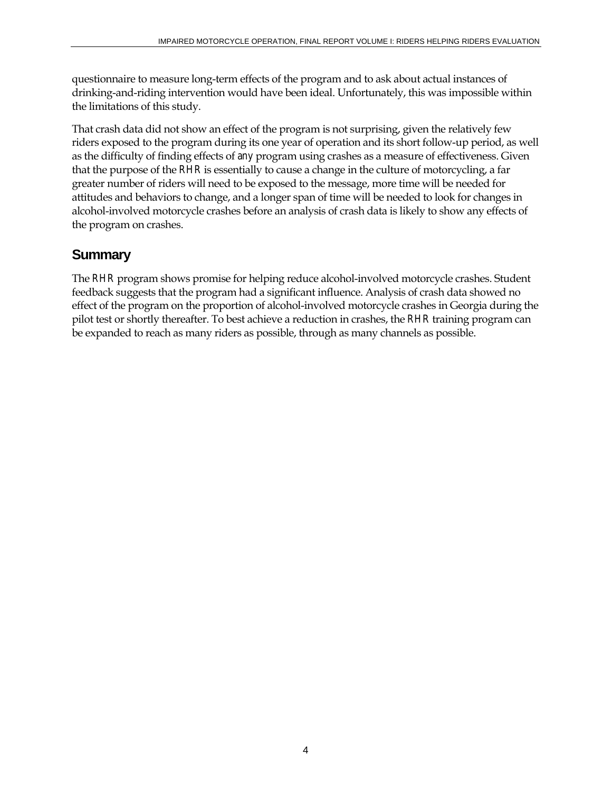<span id="page-9-0"></span>questionnaire to measure long-term effects of the program and to ask about actual instances of drinking-and-riding intervention would have been ideal. Unfortunately, this was impossible within the limitations of this study.

 That crash data did not show an effect of the program is not surprising, given the relatively few riders exposed to the program during its one year of operation and its short follow-up period, as well as the difficulty of finding effects of *any* program using crashes as a measure of effectiveness. Given that the purpose of the *RHR* is essentially to cause a change in the culture of motorcycling, a far greater number of riders will need to be exposed to the message, more time will be needed for attitudes and behaviors to change, and a longer span of time will be needed to look for changes in alcohol-involved motorcycle crashes before an analysis of crash data is likely to show any effects of the program on crashes.

#### **Summary**

The *RHR* program shows promise for helping reduce alcohol-involved motorcycle crashes. Student feedback suggests that the program had a significant influence. Analysis of crash data showed no effect of the program on the proportion of alcohol-involved motorcycle crashes in Georgia during the pilot test or shortly thereafter. To best achieve a reduction in crashes, the *RHR* training program can be expanded to reach as many riders as possible, through as many channels as possible.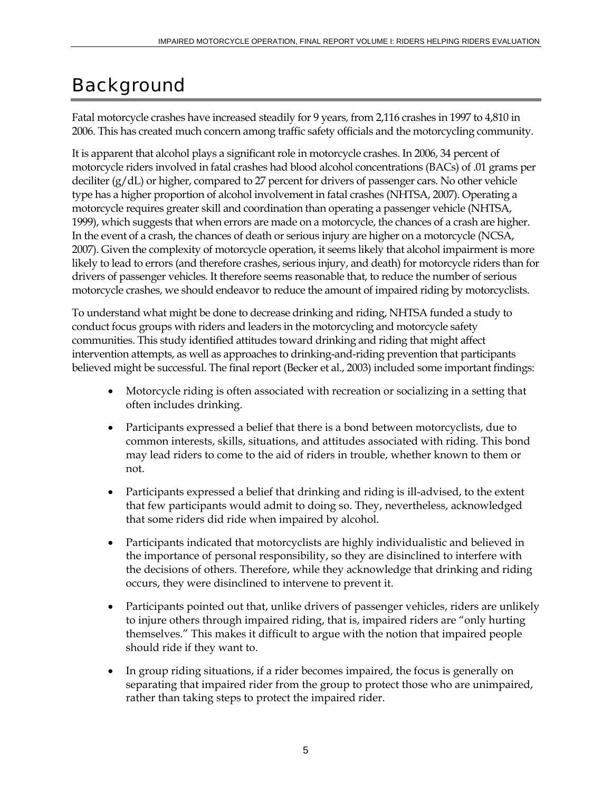## <span id="page-10-0"></span>**Background**

Fatal motorcycle crashes have increased steadily for 9 years, from 2,116 crashes in 1997 to 4,810 in

 2006. This has created much concern among traffic safety officials and the motorcycling community. It is apparent that alcohol plays a significant role in motorcycle crashes. In 2006, 34 percent of motorcycle riders involved in fatal crashes had blood alcohol concentrations (BACs) of .01 grams per deciliter (g/dL) or higher, compared to 27 percent for drivers of passenger cars. No other vehicle type has a higher proportion of alcohol involvement in fatal crashes (NHTSA, 2007). Operating a motorcycle requires greater skill and coordination than operating a passenger vehicle (NHTSA, 1999), which suggests that when errors are made on a motorcycle, the chances of a crash are higher. In the event of a crash, the chances of death or serious injury are higher on a motorcycle (NCSA, 2007). Given the complexity of motorcycle operation, it seems likely that alcohol impairment is more likely to lead to errors (and therefore crashes, serious injury, and death) for motorcycle riders than for drivers of passenger vehicles. It therefore seems reasonable that, to reduce the number of serious motorcycle crashes, we should endeavor to reduce the amount of impaired riding by motorcyclists.

 intervention attempts, as well as approaches to drinking-and-riding prevention that participants To understand what might be done to decrease drinking and riding, NHTSA funded a study to conduct focus groups with riders and leaders in the motorcycling and motorcycle safety communities. This study identified attitudes toward drinking and riding that might affect believed might be successful. The final report (Becker et al., 2003) included some important findings:

- Motorcycle riding is often associated with recreation or socializing in a setting that often includes drinking.
- Participants expressed a belief that there is a bond between motorcyclists, due to common interests, skills, situations, and attitudes associated with riding. This bond may lead riders to come to the aid of riders in trouble, whether known to them or not.
- Participants expressed a belief that drinking and riding is ill-advised, to the extent that few participants would admit to doing so. They, nevertheless, acknowledged that some riders did ride when impaired by alcohol.
- Participants indicated that motorcyclists are highly individualistic and believed in the importance of personal responsibility, so they are disinclined to interfere with the decisions of others. Therefore, while they acknowledge that drinking and riding occurs, they were disinclined to intervene to prevent it.
- Participants pointed out that, unlike drivers of passenger vehicles, riders are unlikely to injure others through impaired riding, that is, impaired riders are "only hurting themselves." This makes it difficult to argue with the notion that impaired people should ride if they want to.
- In group riding situations, if a rider becomes impaired, the focus is generally on separating that impaired rider from the group to protect those who are unimpaired, rather than taking steps to protect the impaired rider.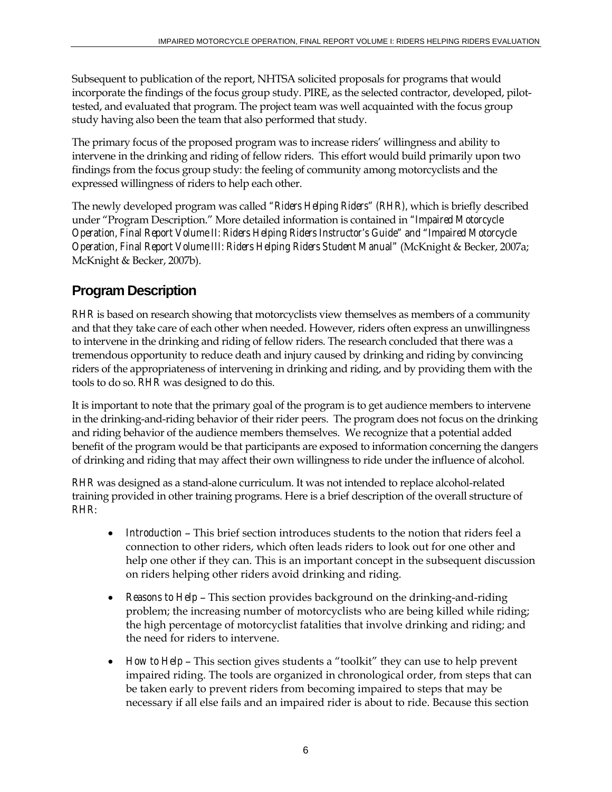<span id="page-11-0"></span>Subsequent to publication of the report, NHTSA solicited proposals for programs that would incorporate the findings of the focus group study. PIRE, as the selected contractor, developed, pilottested, and evaluated that program. The project team was well acquainted with the focus group study having also been the team that also performed that study.

The primary focus of the proposed program was to increase riders' willingness and ability to intervene in the drinking and riding of fellow riders. This effort would build primarily upon two findings from the focus group study: the feeling of community among motorcyclists and the expressed willingness of riders to help each other.

The newly developed program was called *"Riders Helping Riders" (RHR),* which is briefly described under "Program Description." More detailed information is contained in *"Impaired Motorcycle Operation, Final Report Volume II: Riders Helping Riders Instructor's Guide" and "Impaired Motorcycle Operation, Final Report Volume III: Riders Helping Riders Student Manual"* (McKnight & Becker, 2007a; McKnight & Becker, 2007b).

#### **Program Description**

*RHR* is based on research showing that motorcyclists view themselves as members of a community and that they take care of each other when needed. However, riders often express an unwillingness to intervene in the drinking and riding of fellow riders. The research concluded that there was a tremendous opportunity to reduce death and injury caused by drinking and riding by convincing riders of the appropriateness of intervening in drinking and riding, and by providing them with the tools to do so. *RHR* was designed to do this.

It is important to note that the primary goal of the program is to get audience members to intervene in the drinking-and-riding behavior of their rider peers. The program does not focus on the drinking and riding behavior of the audience members themselves. We recognize that a potential added benefit of the program would be that participants are exposed to information concerning the dangers of drinking and riding that may affect their own willingness to ride under the influence of alcohol.

*RHR* was designed as a stand-alone curriculum. It was not intended to replace alcohol-related training provided in other training programs. Here is a brief description of the overall structure of *RHR*:

- • *Introduction* This brief section introduces students to the notion that riders feel a connection to other riders, which often leads riders to look out for one other and help one other if they can. This is an important concept in the subsequent discussion on riders helping other riders avoid drinking and riding.
- • *Reasons to Help*  This section provides background on the drinking-and-riding problem; the increasing number of motorcyclists who are being killed while riding; the high percentage of motorcyclist fatalities that involve drinking and riding; and the need for riders to intervene.
- *How to Help* This section gives students a "toolkit" they can use to help prevent impaired riding. The tools are organized in chronological order, from steps that can be taken early to prevent riders from becoming impaired to steps that may be necessary if all else fails and an impaired rider is about to ride. Because this section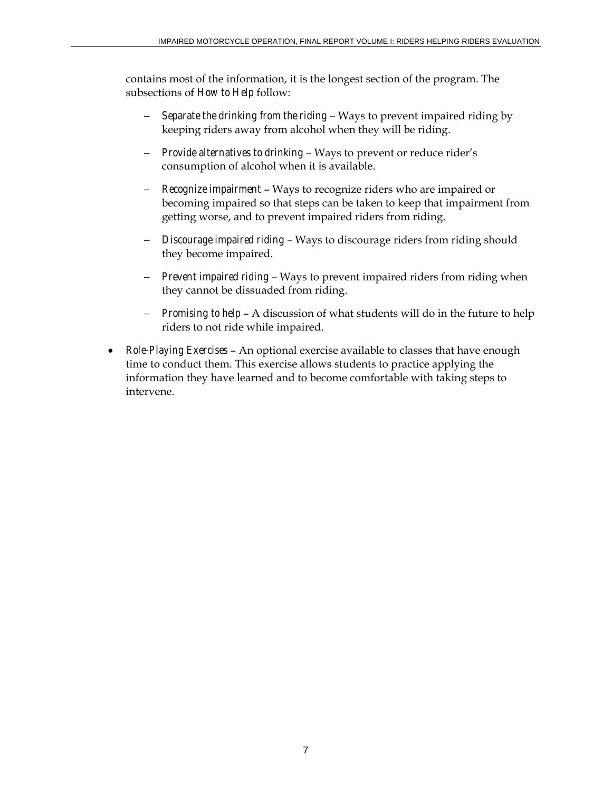contains most of the information, it is the longest section of the program. The subsections of *How to Help* follow:

- *Separate the drinking from the riding* Ways to prevent impaired riding by keeping riders away from alcohol when they will be riding.
- − *Provide alternatives to drinking*  Ways to prevent or reduce rider's consumption of alcohol when it is available.
- − *Recognize impairment*  Ways to recognize riders who are impaired or becoming impaired so that steps can be taken to keep that impairment from getting worse, and to prevent impaired riders from riding.
- − *Discourage impaired riding*  Ways to discourage riders from riding should they become impaired.
- − *Prevent impaired riding*  Ways to prevent impaired riders from riding when they cannot be dissuaded from riding.
- − *Promising to help*  A discussion of what students will do in the future to help riders to not ride while impaired.
- • *Role-Playing Exercises*  An optional exercise available to classes that have enough time to conduct them. This exercise allows students to practice applying the information they have learned and to become comfortable with taking steps to intervene.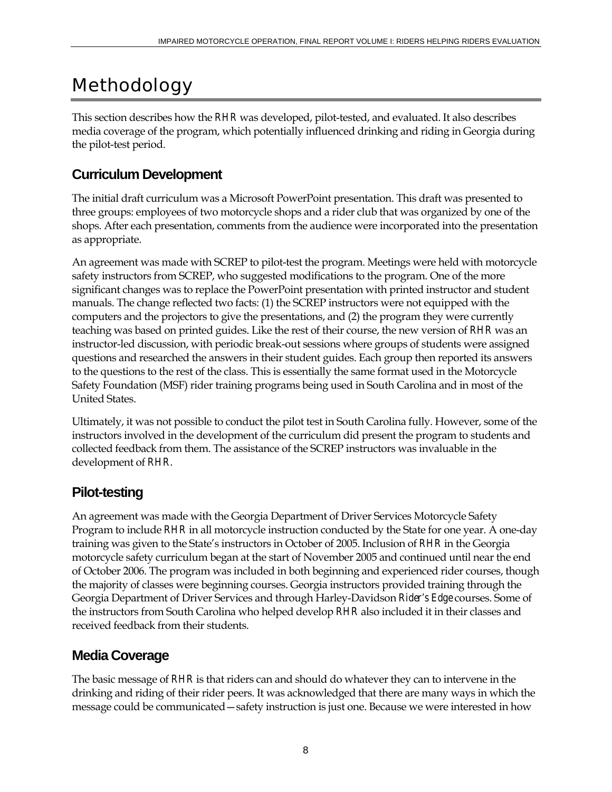## <span id="page-13-0"></span>Methodology

This section describes how the *RHR* was developed, pilot-tested, and evaluated. It also describes media coverage of the program, which potentially influenced drinking and riding in Georgia during the pilot-test period.

### **Curriculum Development**

The initial draft curriculum was a Microsoft PowerPoint presentation. This draft was presented to three groups: employees of two motorcycle shops and a rider club that was organized by one of the shops. After each presentation, comments from the audience were incorporated into the presentation as appropriate.

An agreement was made with SCREP to pilot-test the program. Meetings were held with motorcycle safety instructors from SCREP, who suggested modifications to the program. One of the more significant changes was to replace the PowerPoint presentation with printed instructor and student manuals. The change reflected two facts: (1) the SCREP instructors were not equipped with the computers and the projectors to give the presentations, and (2) the program they were currently teaching was based on printed guides. Like the rest of their course, the new version of *RHR* was an instructor-led discussion, with periodic break-out sessions where groups of students were assigned questions and researched the answers in their student guides. Each group then reported its answers to the questions to the rest of the class. This is essentially the same format used in the Motorcycle Safety Foundation (MSF) rider training programs being used in South Carolina and in most of the United States.

 development of *RHR.* Ultimately, it was not possible to conduct the pilot test in South Carolina fully. However, some of the instructors involved in the development of the curriculum did present the program to students and collected feedback from them. The assistance of the SCREP instructors was invaluable in the

#### **Pilot-testing**

An agreement was made with the Georgia Department of Driver Services Motorcycle Safety Program to include *RHR* in all motorcycle instruction conducted by the State for one year. A one-day training was given to the State's instructors in October of 2005. Inclusion of *RHR* in the Georgia motorcycle safety curriculum began at the start of November 2005 and continued until near the end of October 2006. The program was included in both beginning and experienced rider courses, though the majority of classes were beginning courses. Georgia instructors provided training through the Georgia Department of Driver Services and through Harley-Davidson *Rider's Edge* courses. Some of the instructors from South Carolina who helped develop *RHR* also included it in their classes and received feedback from their students.

#### **Media Coverage**

The basic message of *RHR* is that riders can and should do whatever they can to intervene in the drinking and riding of their rider peers. It was acknowledged that there are many ways in which the message could be communicated—safety instruction is just one. Because we were interested in how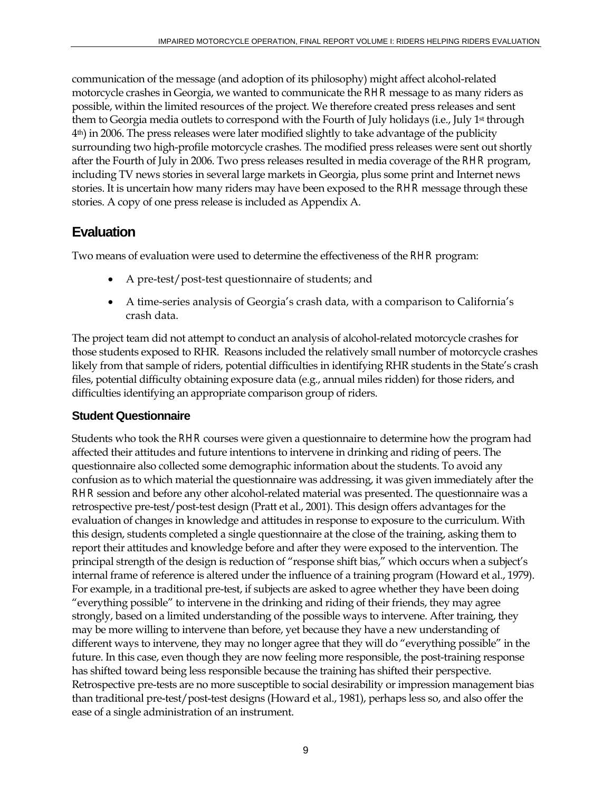<span id="page-14-0"></span> motorcycle crashes in Georgia, we wanted to communicate the *RHR* message to as many riders as communication of the message (and adoption of its philosophy) might affect alcohol-related possible, within the limited resources of the project. We therefore created press releases and sent them to Georgia media outlets to correspond with the Fourth of July holidays (i.e., July 1<sup>st</sup> through 4th) in 2006. The press releases were later modified slightly to take advantage of the publicity surrounding two high-profile motorcycle crashes. The modified press releases were sent out shortly after the Fourth of July in 2006. Two press releases resulted in media coverage of the *RHR* program, including TV news stories in several large markets in Georgia, plus some print and Internet news stories. It is uncertain how many riders may have been exposed to the *RHR* message through these stories. A copy of one press release is included as Appendix A.

#### **Evaluation**

Two means of evaluation were used to determine the effectiveness of the *RHR* program:

- A pre-test/post-test questionnaire of students; and
- A time-series analysis of Georgia's crash data, with a comparison to California's crash data.

The project team did not attempt to conduct an analysis of alcohol-related motorcycle crashes for those students exposed to RHR. Reasons included the relatively small number of motorcycle crashes likely from that sample of riders, potential difficulties in identifying RHR students in the State's crash files, potential difficulty obtaining exposure data (e.g., annual miles ridden) for those riders, and difficulties identifying an appropriate comparison group of riders.

#### **Student Questionnaire**

 retrospective pre-test/post-test design (Pratt et al., 2001). This design offers advantages for the this design, students completed a single questionnaire at the close of the training, asking them to Students who took the *RHR* courses were given a questionnaire to determine how the program had affected their attitudes and future intentions to intervene in drinking and riding of peers. The questionnaire also collected some demographic information about the students. To avoid any confusion as to which material the questionnaire was addressing, it was given immediately after the *RHR* session and before any other alcohol-related material was presented. The questionnaire was a evaluation of changes in knowledge and attitudes in response to exposure to the curriculum. With report their attitudes and knowledge before and after they were exposed to the intervention. The principal strength of the design is reduction of "response shift bias," which occurs when a subject's internal frame of reference is altered under the influence of a training program (Howard et al., 1979). For example, in a traditional pre-test, if subjects are asked to agree whether they have been doing "everything possible" to intervene in the drinking and riding of their friends, they may agree strongly, based on a limited understanding of the possible ways to intervene. After training, they may be more willing to intervene than before, yet because they have a new understanding of different ways to intervene, they may no longer agree that they will do "everything possible" in the future. In this case, even though they are now feeling more responsible, the post-training response has shifted toward being less responsible because the training has shifted their perspective. Retrospective pre-tests are no more susceptible to social desirability or impression management bias than traditional pre-test/post-test designs (Howard et al., 1981), perhaps less so, and also offer the ease of a single administration of an instrument.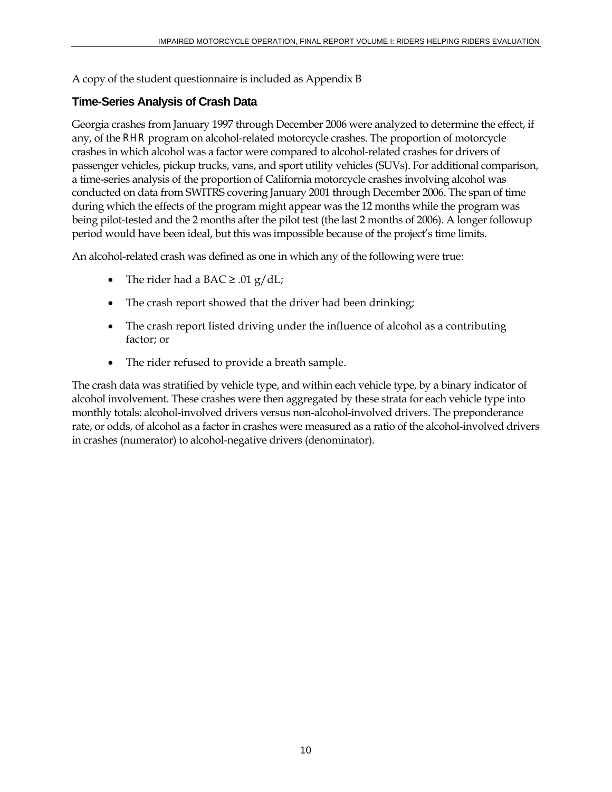<span id="page-15-0"></span>A copy of the student questionnaire is included as Appendix B

#### **Time-Series Analysis of Crash Data**

Georgia crashes from January 1997 through December 2006 were analyzed to determine the effect, if any, of the *RHR* program on alcohol-related motorcycle crashes. The proportion of motorcycle crashes in which alcohol was a factor were compared to alcohol-related crashes for drivers of passenger vehicles, pickup trucks, vans, and sport utility vehicles (SUVs). For additional comparison, a time-series analysis of the proportion of California motorcycle crashes involving alcohol was conducted on data from SWITRS covering January 2001 through December 2006. The span of time during which the effects of the program might appear was the 12 months while the program was being pilot-tested and the 2 months after the pilot test (the last 2 months of 2006). A longer followup period would have been ideal, but this was impossible because of the project's time limits.

An alcohol-related crash was defined as one in which any of the following were true:

- The rider had a BAC  $\ge$  .01 g/dL;
- The crash report showed that the driver had been drinking;
- The crash report listed driving under the influence of alcohol as a contributing factor; or
- The rider refused to provide a breath sample.

The crash data was stratified by vehicle type, and within each vehicle type, by a binary indicator of alcohol involvement. These crashes were then aggregated by these strata for each vehicle type into monthly totals: alcohol-involved drivers versus non-alcohol-involved drivers. The preponderance rate, or odds, of alcohol as a factor in crashes were measured as a ratio of the alcohol-involved drivers in crashes (numerator) to alcohol-negative drivers (denominator).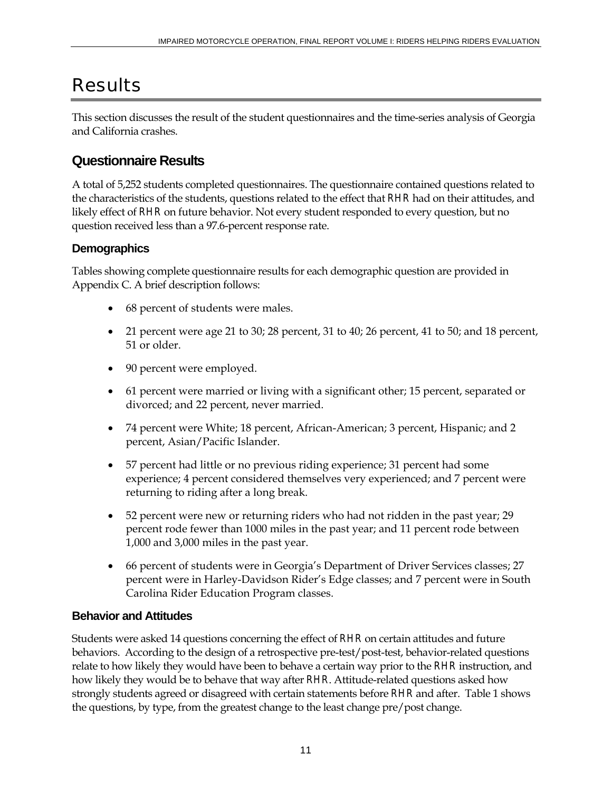## <span id="page-16-0"></span>**Results**

This section discusses the result of the student questionnaires and the time-series analysis of Georgia and California crashes.

#### **Questionnaire Results**

A total of 5,252 students completed questionnaires. The questionnaire contained questions related to the characteristics of the students, questions related to the effect that *RHR* had on their attitudes, and likely effect of *RHR* on future behavior. Not every student responded to every question, but no question received less than a 97.6-percent response rate.

#### **Demographics**

Tables showing complete questionnaire results for each demographic question are provided in Appendix C. A brief description follows:

- 68 percent of students were males.
- • 21 percent were age 21 to 30; 28 percent, 31 to 40; 26 percent, 41 to 50; and 18 percent, 51 or older.
- 90 percent were employed.
- 61 percent were married or living with a significant other; 15 percent, separated or divorced; and 22 percent, never married.
- 74 percent were White; 18 percent, African-American; 3 percent, Hispanic; and 2 percent, Asian/Pacific Islander.
- 57 percent had little or no previous riding experience; 31 percent had some experience; 4 percent considered themselves very experienced; and 7 percent were returning to riding after a long break.
- 52 percent were new or returning riders who had not ridden in the past year; 29 percent rode fewer than 1000 miles in the past year; and 11 percent rode between 1,000 and 3,000 miles in the past year.
- 66 percent of students were in Georgia's Department of Driver Services classes; 27 percent were in Harley-Davidson Rider's Edge classes; and 7 percent were in South Carolina Rider Education Program classes.

#### **Behavior and Attitudes**

 relate to how likely they would have been to behave a certain way prior to the *RHR* instruction, and strongly students agreed or disagreed with certain statements before *RHR* and after. Table 1 shows Students were asked 14 questions concerning the effect of *RHR* on certain attitudes and future behaviors. According to the design of a retrospective pre-test/post-test, behavior-related questions how likely they would be to behave that way after *RHR*. Attitude-related questions asked how the questions, by type, from the greatest change to the least change pre/post change.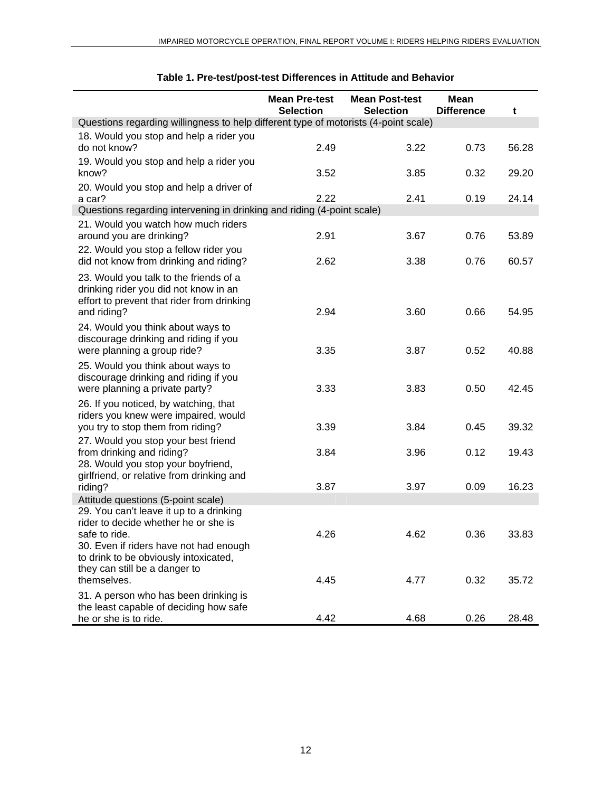|                                                                                                                                                                                     | <b>Mean Pre-test</b><br><b>Selection</b> | <b>Mean Post-test</b><br><b>Selection</b> | <b>Mean</b><br><b>Difference</b> | t     |
|-------------------------------------------------------------------------------------------------------------------------------------------------------------------------------------|------------------------------------------|-------------------------------------------|----------------------------------|-------|
| Questions regarding willingness to help different type of motorists (4-point scale)                                                                                                 |                                          |                                           |                                  |       |
| 18. Would you stop and help a rider you<br>do not know?                                                                                                                             | 2.49                                     | 3.22                                      | 0.73                             | 56.28 |
| 19. Would you stop and help a rider you<br>know?                                                                                                                                    | 3.52                                     | 3.85                                      | 0.32                             | 29.20 |
| 20. Would you stop and help a driver of<br>a car?                                                                                                                                   | 2.22                                     | 2.41                                      | 0.19                             | 24.14 |
| Questions regarding intervening in drinking and riding (4-point scale)                                                                                                              |                                          |                                           |                                  |       |
| 21. Would you watch how much riders<br>around you are drinking?                                                                                                                     | 2.91                                     | 3.67                                      | 0.76                             | 53.89 |
| 22. Would you stop a fellow rider you<br>did not know from drinking and riding?                                                                                                     | 2.62                                     | 3.38                                      | 0.76                             | 60.57 |
| 23. Would you talk to the friends of a<br>drinking rider you did not know in an<br>effort to prevent that rider from drinking<br>and riding?                                        | 2.94                                     | 3.60                                      | 0.66                             | 54.95 |
| 24. Would you think about ways to<br>discourage drinking and riding if you<br>were planning a group ride?                                                                           | 3.35                                     | 3.87                                      | 0.52                             | 40.88 |
| 25. Would you think about ways to<br>discourage drinking and riding if you<br>were planning a private party?                                                                        | 3.33                                     | 3.83                                      | 0.50                             | 42.45 |
| 26. If you noticed, by watching, that<br>riders you knew were impaired, would<br>you try to stop them from riding?                                                                  | 3.39                                     | 3.84                                      | 0.45                             | 39.32 |
| 27. Would you stop your best friend<br>from drinking and riding?<br>28. Would you stop your boyfriend,                                                                              | 3.84                                     | 3.96                                      | 0.12                             | 19.43 |
| girlfriend, or relative from drinking and<br>riding?                                                                                                                                | 3.87                                     | 3.97                                      | 0.09                             | 16.23 |
| Attitude questions (5-point scale)                                                                                                                                                  |                                          |                                           |                                  |       |
| 29. You can't leave it up to a drinking<br>rider to decide whether he or she is<br>safe to ride.<br>30. Even if riders have not had enough<br>to drink to be obviously intoxicated, | 4.26                                     | 4.62                                      | 0.36                             | 33.83 |
| they can still be a danger to<br>themselves.                                                                                                                                        | 4.45                                     | 4.77                                      | 0.32                             | 35.72 |
| 31. A person who has been drinking is<br>the least capable of deciding how safe<br>he or she is to ride.                                                                            | 4.42                                     | 4.68                                      | 0.26                             | 28.48 |

#### **Table 1. Pre-test/post-test Differences in Attitude and Behavior**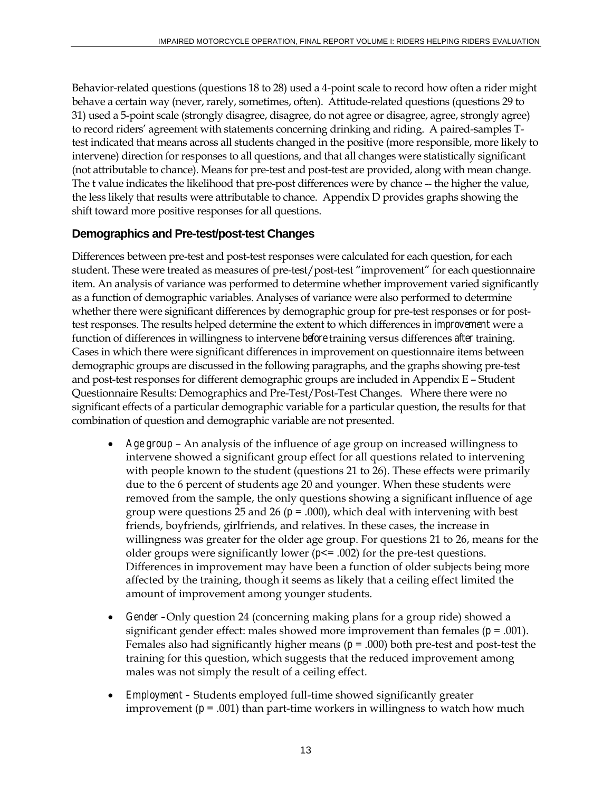<span id="page-18-0"></span> (not attributable to chance). Means for pre-test and post-test are provided, along with mean change. Behavior-related questions (questions 18 to 28) used a 4-point scale to record how often a rider might behave a certain way (never, rarely, sometimes, often). Attitude-related questions (questions 29 to 31) used a 5-point scale (strongly disagree, disagree, do not agree or disagree, agree, strongly agree) to record riders' agreement with statements concerning drinking and riding. A paired-samples Ttest indicated that means across all students changed in the positive (more responsible, more likely to intervene) direction for responses to all questions, and that all changes were statistically significant The t value indicates the likelihood that pre-post differences were by chance -- the higher the value, the less likely that results were attributable to chance. Appendix D provides graphs showing the shift toward more positive responses for all questions.

#### **Demographics and Pre-test/post-test Changes**

Differences between pre-test and post-test responses were calculated for each question, for each student. These were treated as measures of pre-test/post-test "improvement" for each questionnaire item. An analysis of variance was performed to determine whether improvement varied significantly as a function of demographic variables. Analyses of variance were also performed to determine whether there were significant differences by demographic group for pre-test responses or for posttest responses. The results helped determine the extent to which differences in *improvement* were a function of differences in willingness to intervene *before* training versus differences *after* training. Cases in which there were significant differences in improvement on questionnaire items between demographic groups are discussed in the following paragraphs, and the graphs showing pre-test and post-test responses for different demographic groups are included in Appendix E – Student Questionnaire Results: Demographics and Pre-Test/Post-Test Changes. Where there were no significant effects of a particular demographic variable for a particular question, the results for that combination of question and demographic variable are not presented.

- *Age group* An analysis of the influence of age group on increased willingness to intervene showed a significant group effect for all questions related to intervening with people known to the student (questions 21 to 26). These effects were primarily due to the 6 percent of students age 20 and younger. When these students were removed from the sample, the only questions showing a significant influence of age group were questions 25 and 26 ( $p = .000$ ), which deal with intervening with best friends, boyfriends, girlfriends, and relatives. In these cases, the increase in willingness was greater for the older age group. For questions 21 to 26, means for the older groups were significantly lower ( $p \le 0.002$ ) for the pre-test questions. Differences in improvement may have been a function of older subjects being more affected by the training, though it seems as likely that a ceiling effect limited the amount of improvement among younger students.
- • *Gender –*Only question 24 (concerning making plans for a group ride) showed a significant gender effect: males showed more improvement than females ( $p = .001$ ). Females also had significantly higher means (*p* = .000) both pre-test and post-test the training for this question, which suggests that the reduced improvement among males was not simply the result of a ceiling effect.
- *Employment* Students employed full-time showed significantly greater improvement ( $p = .001$ ) than part-time workers in willingness to watch how much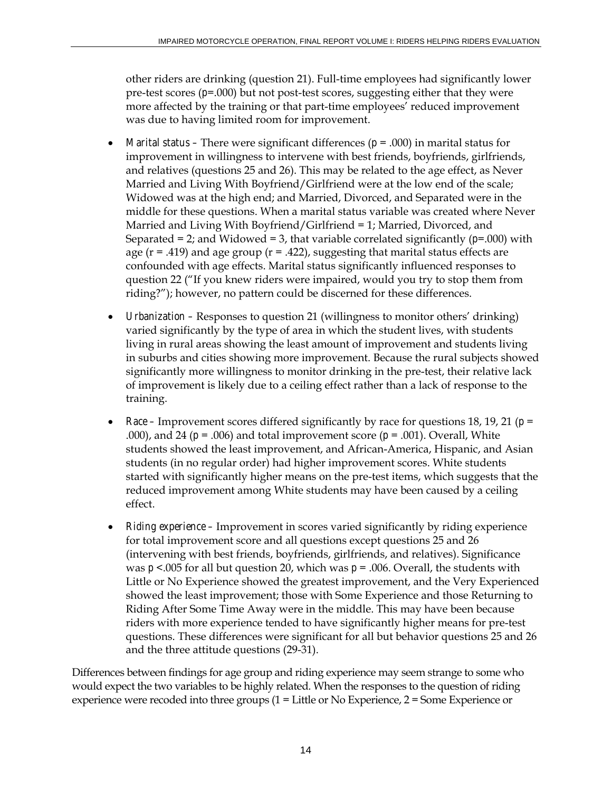other riders are drinking (question 21). Full-time employees had significantly lower pre-test scores (*p*=.000) but not post-test scores, suggesting either that they were more affected by the training or that part-time employees' reduced improvement was due to having limited room for improvement.

- *Marital status –* There were significant differences ( $p = .000$ ) in marital status for improvement in willingness to intervene with best friends, boyfriends, girlfriends, and relatives (questions 25 and 26). This may be related to the age effect, as Never Married and Living With Boyfriend/Girlfriend were at the low end of the scale; Widowed was at the high end; and Married, Divorced, and Separated were in the middle for these questions. When a marital status variable was created where Never Married and Living With Boyfriend/Girlfriend = 1; Married, Divorced, and Separated = 2; and Widowed = 3, that variable correlated significantly (*p*=.000) with age ( $r = .419$ ) and age group ( $r = .422$ ), suggesting that marital status effects are confounded with age effects. Marital status significantly influenced responses to question 22 ("If you knew riders were impaired, would you try to stop them from riding?"); however, no pattern could be discerned for these differences.
- *Urbanization –* Responses to question 21 (willingness to monitor others' drinking) varied significantly by the type of area in which the student lives, with students living in rural areas showing the least amount of improvement and students living in suburbs and cities showing more improvement. Because the rural subjects showed significantly more willingness to monitor drinking in the pre-test, their relative lack of improvement is likely due to a ceiling effect rather than a lack of response to the training.
- *Race –* Improvement scores differed significantly by race for questions 18, 19, 21 ( $p =$ .000), and 24 ( $p = .006$ ) and total improvement score ( $p = .001$ ). Overall, White students showed the least improvement, and African-America, Hispanic, and Asian students (in no regular order) had higher improvement scores. White students started with significantly higher means on the pre-test items, which suggests that the reduced improvement among White students may have been caused by a ceiling effect.
- *Riding experience* Improvement in scores varied significantly by riding experience for total improvement score and all questions except questions 25 and 26 (intervening with best friends, boyfriends, girlfriends, and relatives). Significance was  $p < 0.005$  for all but question 20, which was  $p = 0.006$ . Overall, the students with Little or No Experience showed the greatest improvement, and the Very Experienced showed the least improvement; those with Some Experience and those Returning to Riding After Some Time Away were in the middle. This may have been because riders with more experience tended to have significantly higher means for pre-test questions. These differences were significant for all but behavior questions 25 and 26 and the three attitude questions (29-31).

Differences between findings for age group and riding experience may seem strange to some who would expect the two variables to be highly related. When the responses to the question of riding experience were recoded into three groups (1 = Little or No Experience, 2 = Some Experience or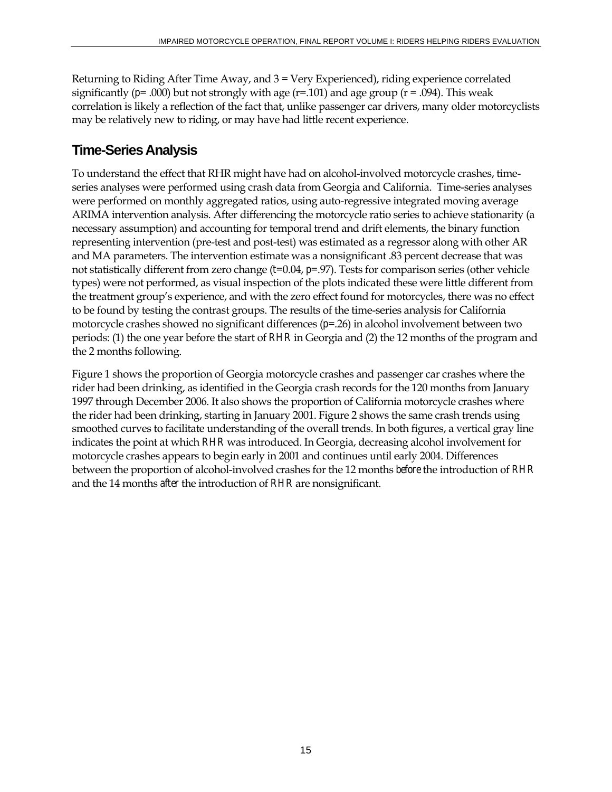<span id="page-20-0"></span> may be relatively new to riding, or may have had little recent experience. Returning to Riding After Time Away, and 3 = Very Experienced), riding experience correlated significantly ( $p=$  .000) but not strongly with age ( $r=$  .101) and age group ( $r=$  .094). This weak correlation is likely a reflection of the fact that, unlike passenger car drivers, many older motorcyclists

#### **Time-Series Analysis**

 were performed on monthly aggregated ratios, using auto-regressive integrated moving average To understand the effect that RHR might have had on alcohol-involved motorcycle crashes, timeseries analyses were performed using crash data from Georgia and California. Time-series analyses ARIMA intervention analysis. After differencing the motorcycle ratio series to achieve stationarity (a necessary assumption) and accounting for temporal trend and drift elements, the binary function representing intervention (pre-test and post-test) was estimated as a regressor along with other AR and MA parameters. The intervention estimate was a nonsignificant .83 percent decrease that was not statistically different from zero change (*t*=0.04, *p*=.97). Tests for comparison series (other vehicle types) were not performed, as visual inspection of the plots indicated these were little different from the treatment group's experience, and with the zero effect found for motorcycles, there was no effect to be found by testing the contrast groups. The results of the time-series analysis for California motorcycle crashes showed no significant differences (*p*=.26) in alcohol involvement between two periods: (1) the one year before the start of *RHR* in Georgia and (2) the 12 months of the program and the 2 months following.

 between the proportion of alcohol-involved crashes for the 12 months *before* the introduction of *RHR*  and the 14 months *after* the introduction of *RHR* are nonsignificant. Figure 1 shows the proportion of Georgia motorcycle crashes and passenger car crashes where the rider had been drinking, as identified in the Georgia crash records for the 120 months from January 1997 through December 2006. It also shows the proportion of California motorcycle crashes where the rider had been drinking, starting in January 2001. Figure 2 shows the same crash trends using smoothed curves to facilitate understanding of the overall trends. In both figures, a vertical gray line indicates the point at which *RHR* was introduced. In Georgia, decreasing alcohol involvement for motorcycle crashes appears to begin early in 2001 and continues until early 2004. Differences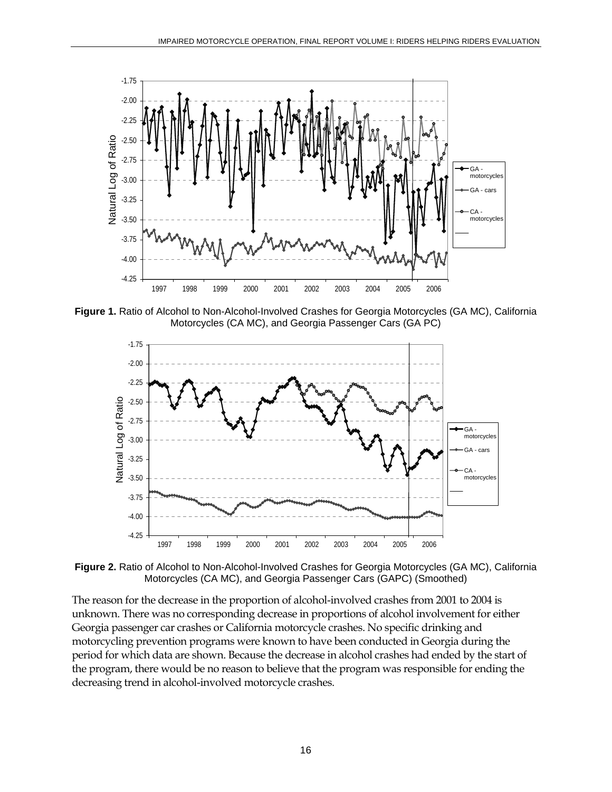<span id="page-21-0"></span>

**Figure 1.** Ratio of Alcohol to Non-Alcohol-Involved Crashes for Georgia Motorcycles (GA MC), California Motorcycles (CA MC), and Georgia Passenger Cars (GA PC)



**Figure 2.** Ratio of Alcohol to Non-Alcohol-Involved Crashes for Georgia Motorcycles (GA MC), California Motorcycles (CA MC), and Georgia Passenger Cars (GAPC) (Smoothed)

The reason for the decrease in the proportion of alcohol-involved crashes from 2001 to 2004 is unknown. There was no corresponding decrease in proportions of alcohol involvement for either Georgia passenger car crashes or California motorcycle crashes. No specific drinking and motorcycling prevention programs were known to have been conducted in Georgia during the period for which data are shown. Because the decrease in alcohol crashes had ended by the start of the program, there would be no reason to believe that the program was responsible for ending the decreasing trend in alcohol-involved motorcycle crashes.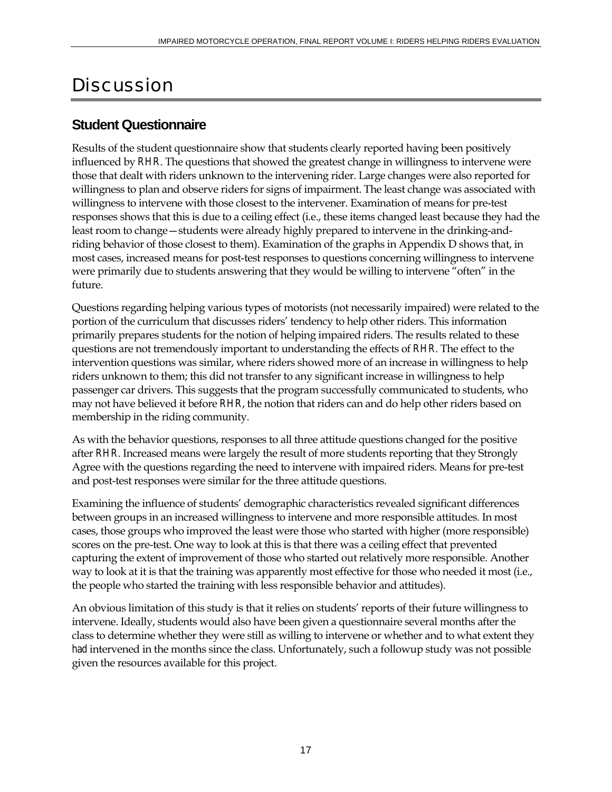## <span id="page-22-0"></span>**Discussion**

#### **Student Questionnaire**

Results of the student questionnaire show that students clearly reported having been positively influenced by *RHR*. The questions that showed the greatest change in willingness to intervene were those that dealt with riders unknown to the intervening rider. Large changes were also reported for willingness to plan and observe riders for signs of impairment. The least change was associated with willingness to intervene with those closest to the intervener. Examination of means for pre-test responses shows that this is due to a ceiling effect (i.e., these items changed least because they had the least room to change—students were already highly prepared to intervene in the drinking-andriding behavior of those closest to them). Examination of the graphs in Appendix D shows that, in most cases, increased means for post-test responses to questions concerning willingness to intervene were primarily due to students answering that they would be willing to intervene "often" in the future.

 passenger car drivers. This suggests that the program successfully communicated to students, who membership in the riding community. Questions regarding helping various types of motorists (not necessarily impaired) were related to the portion of the curriculum that discusses riders' tendency to help other riders. This information primarily prepares students for the notion of helping impaired riders. The results related to these questions are not tremendously important to understanding the effects of *RHR*. The effect to the intervention questions was similar, where riders showed more of an increase in willingness to help riders unknown to them; this did not transfer to any significant increase in willingness to help may not have believed it before *RHR*, the notion that riders can and do help other riders based on

and post-test responses were similar for the three attitude questions. As with the behavior questions, responses to all three attitude questions changed for the positive after *RHR*. Increased means were largely the result of more students reporting that they Strongly Agree with the questions regarding the need to intervene with impaired riders. Means for pre-test

Examining the influence of students' demographic characteristics revealed significant differences between groups in an increased willingness to intervene and more responsible attitudes. In most cases, those groups who improved the least were those who started with higher (more responsible) scores on the pre-test. One way to look at this is that there was a ceiling effect that prevented capturing the extent of improvement of those who started out relatively more responsible. Another way to look at it is that the training was apparently most effective for those who needed it most (i.e., the people who started the training with less responsible behavior and attitudes).

An obvious limitation of this study is that it relies on students' reports of their future willingness to intervene. Ideally, students would also have been given a questionnaire several months after the class to determine whether they were still as willing to intervene or whether and to what extent they *had* intervened in the months since the class. Unfortunately, such a followup study was not possible given the resources available for this project.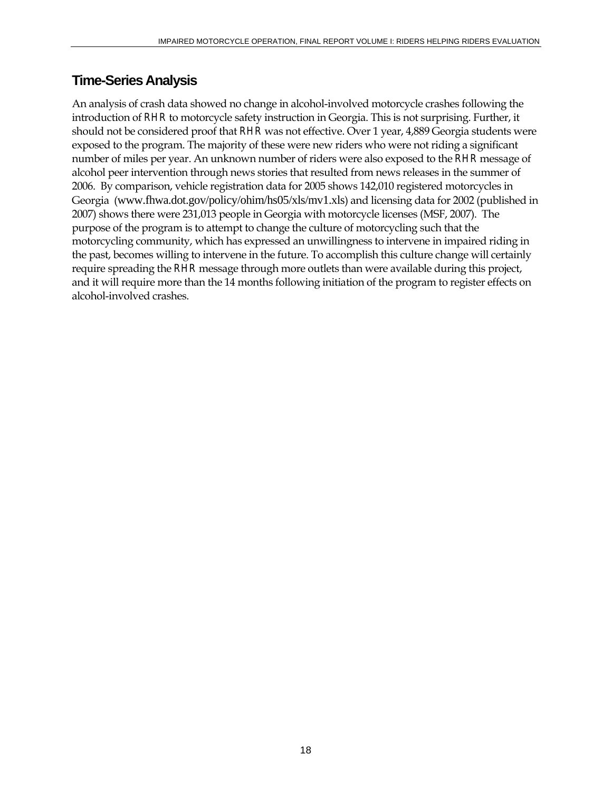#### <span id="page-23-0"></span>**Time-Series Analysis**

 2007) shows there were 231,013 people in Georgia with motorcycle licenses (MSF, 2007). The An analysis of crash data showed no change in alcohol-involved motorcycle crashes following the introduction of *RHR* to motorcycle safety instruction in Georgia. This is not surprising. Further, it should not be considered proof that *RHR* was not effective. Over 1 year, 4,889 Georgia students were exposed to the program. The majority of these were new riders who were not riding a significant number of miles per year. An unknown number of riders were also exposed to the *RHR* message of alcohol peer intervention through news stories that resulted from news releases in the summer of 2006. By comparison, vehicle registration data for 2005 shows 142,010 registered motorcycles in Georgia (www.fhwa.dot.gov/policy/ohim/hs05/xls/mv1.xls) and licensing data for 2002 (published in purpose of the program is to attempt to change the culture of motorcycling such that the motorcycling community, which has expressed an unwillingness to intervene in impaired riding in the past, becomes willing to intervene in the future. To accomplish this culture change will certainly require spreading the *RHR* message through more outlets than were available during this project, and it will require more than the 14 months following initiation of the program to register effects on alcohol-involved crashes.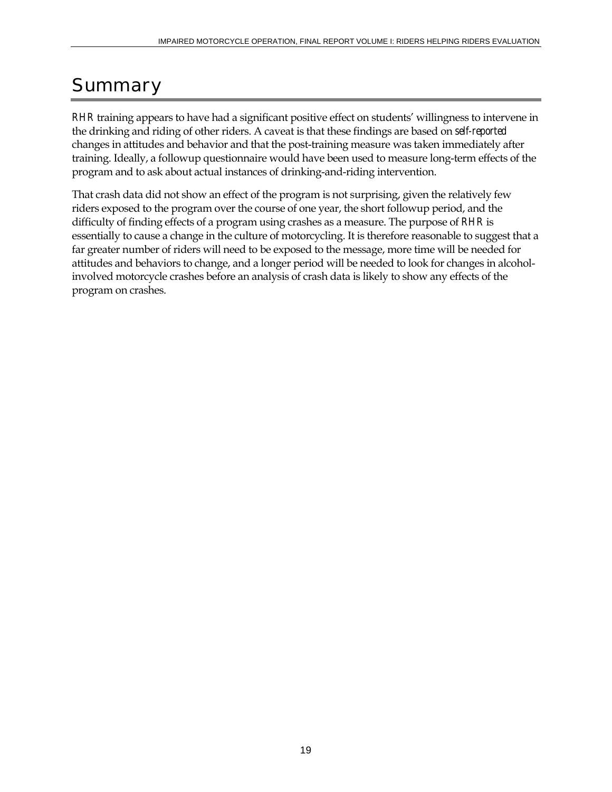## <span id="page-24-0"></span>**Summary**

 training. Ideally, a followup questionnaire would have been used to measure long-term effects of the *RHR* training appears to have had a significant positive effect on students' willingness to intervene in the drinking and riding of other riders. A caveat is that these findings are based on *self-reported*  changes in attitudes and behavior and that the post-training measure was taken immediately after program and to ask about actual instances of drinking-and-riding intervention.

 That crash data did not show an effect of the program is not surprising, given the relatively few riders exposed to the program over the course of one year, the short followup period, and the difficulty of finding effects of a program using crashes as a measure. The purpose of *RHR* is essentially to cause a change in the culture of motorcycling. It is therefore reasonable to suggest that a far greater number of riders will need to be exposed to the message, more time will be needed for attitudes and behaviors to change, and a longer period will be needed to look for changes in alcoholinvolved motorcycle crashes before an analysis of crash data is likely to show any effects of the program on crashes.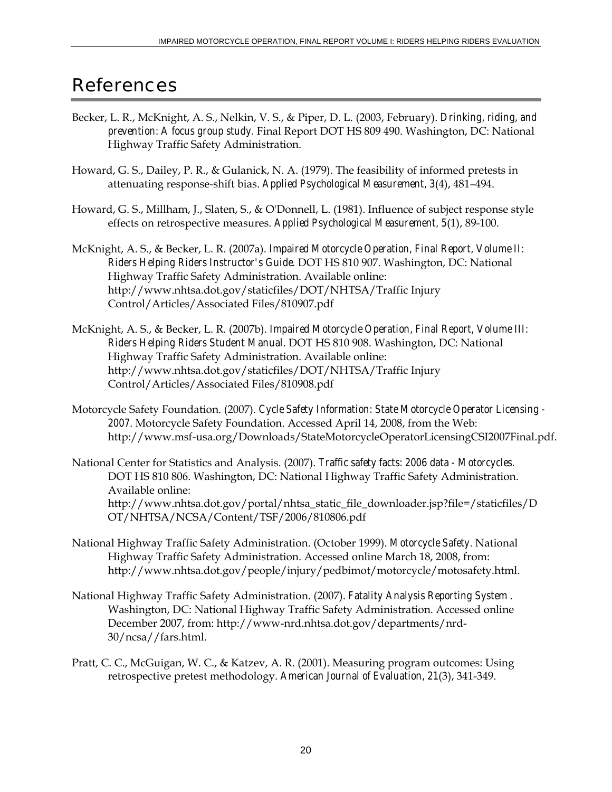## <span id="page-25-0"></span>**References**

- Becker, L. R., McKnight, A. S., Nelkin, V. S., & Piper, D. L. (2003, February). *Drinking, riding, and prevention: A focus group study.* Final Report DOT HS 809 490. Washington, DC: National Highway Traffic Safety Administration.
- Howard, G. S., Dailey, P. R., & Gulanick, N. A. (1979). The feasibility of informed pretests in attenuating response-shift bias. *Applied Psychological Measurement, 3*(4), 481–494.
- Howard, G. S., Millham, J., Slaten, S., & O'Donnell, L. (1981). Influence of subject response style effects on retrospective measures. *Applied Psychological Measurement, 5*(1), 89-100.
- McKnight, A. S., & Becker, L. R. (2007a). *Impaired Motorcycle Operation, Final Report, Volume II: Riders Helping Riders Instructor's Guide.* DOT HS 810 907. Washington, DC: National Highway Traffic Safety Administration. Available online: http://www.nhtsa.dot.gov/staticfiles/DOT/NHTSA/Traffic Injury Control/Articles/Associated Files/810907.pdf
- McKnight, A. S., & Becker, L. R. (2007b). *Impaired Motorcycle Operation, Final Report, Volume III: Riders Helping Riders Student Manual.* DOT HS 810 908. Washington, DC: National Highway Traffic Safety Administration. Available online: http://www.nhtsa.dot.gov/staticfiles/DOT/NHTSA/Traffic Injury Control/Articles/Associated Files/810908.pdf
- Motorcycle Safety Foundation. (2007). *Cycle Safety Information: State Motorcycle Operator Licensing 2007*. Motorcycle Safety Foundation. Accessed April 14, 2008, from the Web: http://www.msf-usa.org/Downloads/StateMotorcycleOperatorLicensingCSI2007Final.pdf.
- National Center for Statistics and Analysis. (2007). *Traffic safety facts: 2006 data Motorcycles.*  DOT HS 810 806. Washington, DC: National Highway Traffic Safety Administration. Available online: http://www.nhtsa.dot.gov/portal/nhtsa\_static\_file\_downloader.jsp?file=/staticfiles/D OT/NHTSA/NCSA/Content/TSF/2006/810806.pdf
- National Highway Traffic Safety Administration. (October 1999). *Motorcycle Safety*. National Highway Traffic Safety Administration. Accessed online March 18, 2008, from: http://www.nhtsa.dot.gov/people/injury/pedbimot/motorcycle/motosafety.html.
- National Highway Traffic Safety Administration. (2007). *Fatality Analysis Reporting System* . Washington, DC: National Highway Traffic Safety Administration. Accessed online December 2007, from: http://www-nrd.nhtsa.dot.gov/departments/nrd-30/ncsa//fars.html.
- Pratt, C. C., McGuigan, W. C., & Katzev, A. R. (2001). Measuring program outcomes: Using retrospective pretest methodology. *American Journal of Evaluation, 21*(3), 341-349.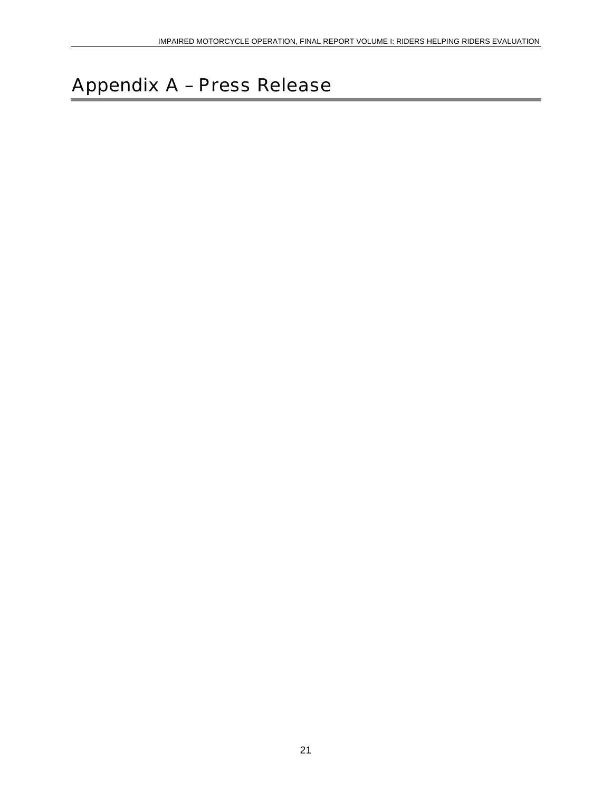## <span id="page-26-0"></span>Appendix A – Press Release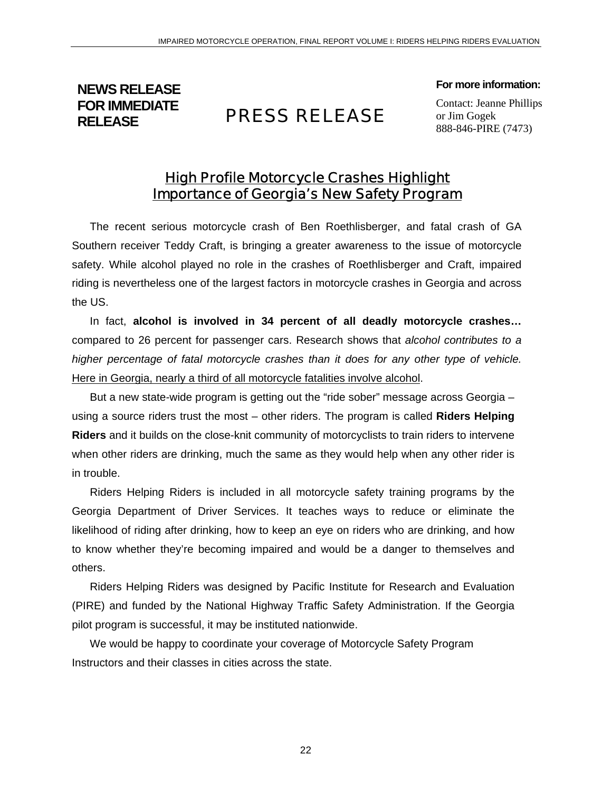# **NEWS RELEASE** *For more information:* **For more information:**

#### **FOR IMMEDIATE PRESS RELEASE** Contact: Jeanne Phillips Contact: Jeanne Phillips **RELEASE PRESS RELEASE**

888-846-PIRE (7473)

#### **High Profile Motorcycle Crashes Highlight Importance of Georgia's New Safety Program**

The recent serious motorcycle crash of Ben Roethlisberger, and fatal crash of GA Southern receiver Teddy Craft, is bringing a greater awareness to the issue of motorcycle safety. While alcohol played no role in the crashes of Roethlisberger and Craft, impaired riding is nevertheless one of the largest factors in motorcycle crashes in Georgia and across the US.

In fact, **alcohol is involved in 34 percent of all deadly motorcycle crashes…**  compared to 26 percent for passenger cars. Research shows that *alcohol contributes to a higher percentage of fatal motorcycle crashes than it does for any other type of vehicle.*  Here in Georgia, nearly a third of all motorcycle fatalities involve alcohol.

But a new state-wide program is getting out the "ride sober" message across Georgia – using a source riders trust the most – other riders. The program is called **Riders Helping Riders** and it builds on the close-knit community of motorcyclists to train riders to intervene when other riders are drinking, much the same as they would help when any other rider is in trouble.

Riders Helping Riders is included in all motorcycle safety training programs by the Georgia Department of Driver Services. It teaches ways to reduce or eliminate the likelihood of riding after drinking, how to keep an eye on riders who are drinking, and how to know whether they're becoming impaired and would be a danger to themselves and others.

pilot program is successful, it may be instituted nationwide. Riders Helping Riders was designed by Pacific Institute for Research and Evaluation (PIRE) and funded by the National Highway Traffic Safety Administration. If the Georgia

We would be happy to coordinate your coverage of Motorcycle Safety Program Instructors and their classes in cities across the state.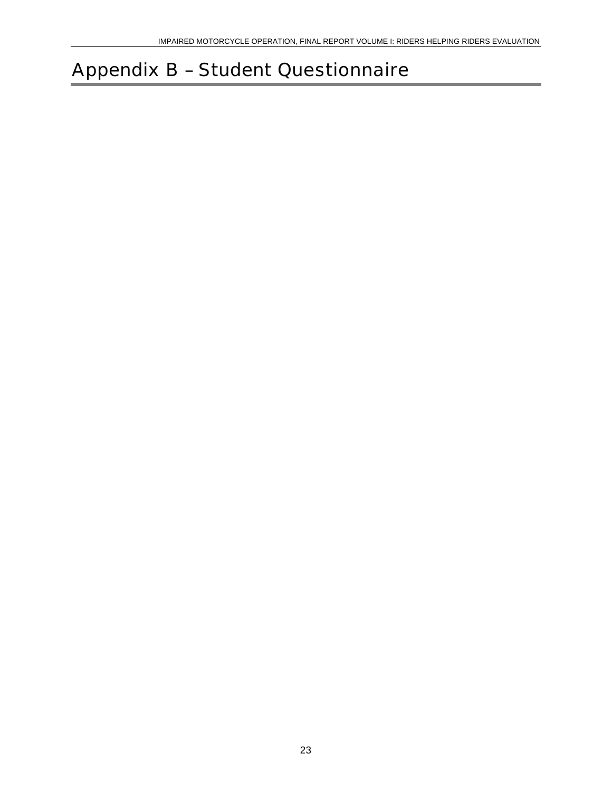## <span id="page-28-0"></span>Appendix B – Student Questionnaire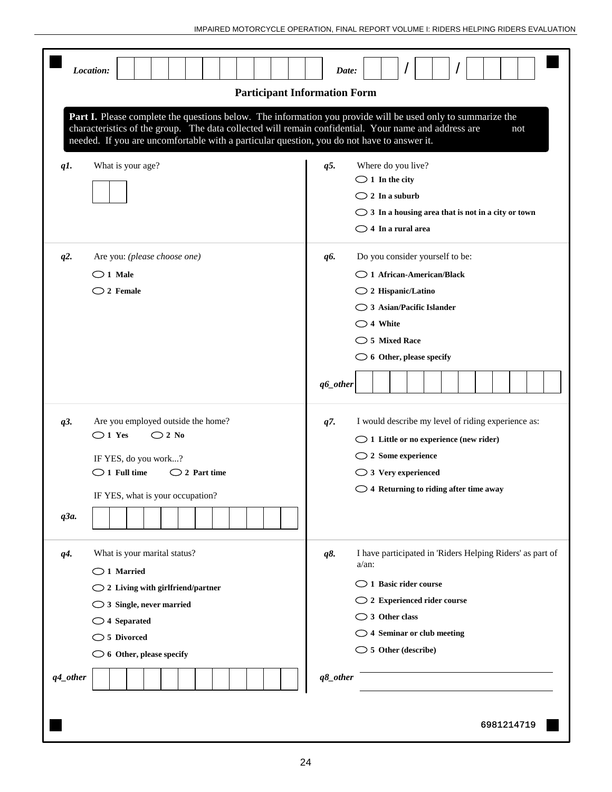| Location:                                                                                                                                                                                                                                             | Date:                                                                                                                                                                                                                                                                                                                    |  |  |  |  |  |
|-------------------------------------------------------------------------------------------------------------------------------------------------------------------------------------------------------------------------------------------------------|--------------------------------------------------------------------------------------------------------------------------------------------------------------------------------------------------------------------------------------------------------------------------------------------------------------------------|--|--|--|--|--|
| <b>Participant Information Form</b>                                                                                                                                                                                                                   |                                                                                                                                                                                                                                                                                                                          |  |  |  |  |  |
|                                                                                                                                                                                                                                                       | Part I. Please complete the questions below. The information you provide will be used only to summarize the<br>characteristics of the group. The data collected will remain confidential. Your name and address are<br>not<br>needed. If you are uncomfortable with a particular question, you do not have to answer it. |  |  |  |  |  |
| What is your age?<br>q1.                                                                                                                                                                                                                              | Where do you live?<br>q5.<br>$\bigcirc$ 1 In the city<br>$\bigcirc$ 2 In a suburb<br>$\bigcirc$ 3 In a housing area that is not in a city or town<br>$\bigcirc$ 4 In a rural area                                                                                                                                        |  |  |  |  |  |
| $q2$ .<br>Are you: (please choose one)<br>$\bigcirc$ 1 Male<br>$\bigcirc$ 2 Female                                                                                                                                                                    | Do you consider yourself to be:<br>q6.<br>$\bigcirc$ 1 African-American/Black<br>$\bigcirc$ 2 Hispanic/Latino<br>$\bigcirc$ 3 Asian/Pacific Islander<br>$\bigcirc$ 4 White<br>$\bigcirc$ 5 Mixed Race<br>$\bigcirc$ 6 Other, please specify<br>$q6\_other$                                                               |  |  |  |  |  |
| q3.<br>Are you employed outside the home?<br>$\bigcirc$ 1 Yes<br>$\bigcirc$ 2 No<br>IF YES, do you work?<br>$\bigcirc$ 1 Full time<br>$\bigcirc$ 2 Part time<br>IF YES, what is your occupation?<br>q3a.                                              | q7.<br>I would describe my level of riding experience as:<br>$\bigcirc$ 1 Little or no experience (new rider)<br>$\bigcirc$ 2 Some experience<br>$\bigcirc$ 3 Very experienced<br>$\bigcirc$ 4 Returning to riding after time away                                                                                       |  |  |  |  |  |
| q4.<br>What is your marital status?<br>$\bigcirc$ 1 Married<br>$\bigcirc$ 2 Living with girlfriend/partner<br>$\bigcirc$ 3 Single, never married<br>$\bigcirc$ 4 Separated<br>$\bigcirc$ 5 Divorced<br>$\bigcirc$ 6 Other, please specify<br>q4_other | q8.<br>I have participated in 'Riders Helping Riders' as part of<br>$a/an$ :<br>$\bigcirc$ 1 Basic rider course<br>$\bigcirc$ 2 Experienced rider course<br>$\bigcirc$ 3 Other class<br>$\bigcirc$ 4 Seminar or club meeting<br>$\bigcirc$ 5 Other (describe)<br>q8_other                                                |  |  |  |  |  |
|                                                                                                                                                                                                                                                       | 6981214719                                                                                                                                                                                                                                                                                                               |  |  |  |  |  |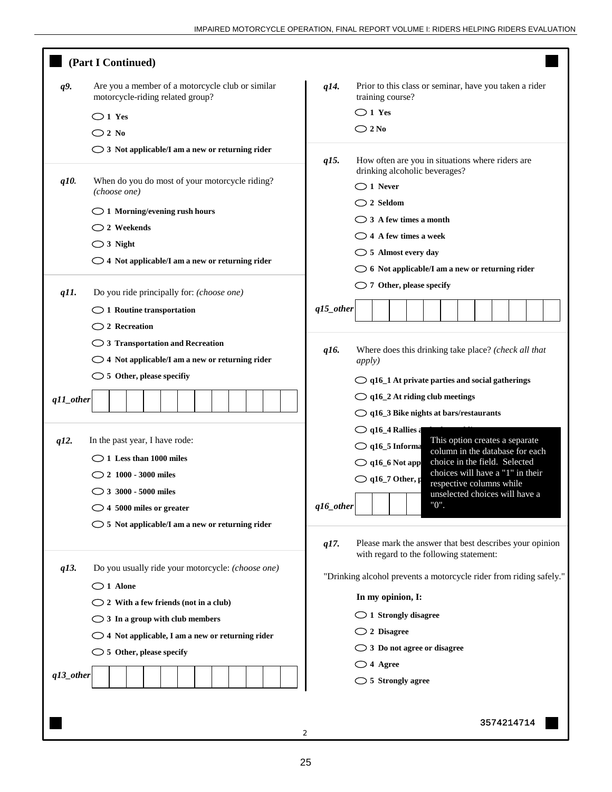|              | (Part I Continued)                                                                                                                                                                 |              |                                                                                                                                                                                                                                                                                                                                 |
|--------------|------------------------------------------------------------------------------------------------------------------------------------------------------------------------------------|--------------|---------------------------------------------------------------------------------------------------------------------------------------------------------------------------------------------------------------------------------------------------------------------------------------------------------------------------------|
| q9.          | Are you a member of a motorcycle club or similar<br>motorcycle-riding related group?                                                                                               | q14.         | Prior to this class or seminar, have you taken a rider<br>training course?                                                                                                                                                                                                                                                      |
|              | $\bigcirc$ 1 Yes                                                                                                                                                                   |              | $\bigcirc$ 1 Yes                                                                                                                                                                                                                                                                                                                |
|              | $\bigcirc$ 2 No                                                                                                                                                                    |              | $\bigcirc$ 2 No                                                                                                                                                                                                                                                                                                                 |
|              | $\bigcirc$ 3 Not applicable/I am a new or returning rider                                                                                                                          |              |                                                                                                                                                                                                                                                                                                                                 |
| $q10$ .      | When do you do most of your motorcycle riding?<br>(choose one)                                                                                                                     | q15.         | How often are you in situations where riders are<br>drinking alcoholic beverages?<br>$\bigcirc$ 1 Never<br>$\bigcirc$ 2 Seldom                                                                                                                                                                                                  |
|              | $\bigcirc$ 1 Morning/evening rush hours                                                                                                                                            |              | $\bigcirc$ 3 A few times a month                                                                                                                                                                                                                                                                                                |
|              | $\bigcirc$ 2 Weekends                                                                                                                                                              |              | $\bigcirc$ 4 A few times a week                                                                                                                                                                                                                                                                                                 |
|              | $\bigcirc$ 3 Night                                                                                                                                                                 |              | $\bigcirc$ 5 Almost every day                                                                                                                                                                                                                                                                                                   |
|              | $\bigcirc$ 4 Not applicable/I am a new or returning rider                                                                                                                          |              | $\bigcirc$ 6 Not applicable/I am a new or returning rider                                                                                                                                                                                                                                                                       |
| q11.         | Do you ride principally for: (choose one)                                                                                                                                          |              | $\bigcirc$ 7 Other, please specify                                                                                                                                                                                                                                                                                              |
|              | $\bigcirc$ 1 Routine transportation                                                                                                                                                | $q15\_other$ |                                                                                                                                                                                                                                                                                                                                 |
|              | $\bigcirc$ 2 Recreation                                                                                                                                                            |              |                                                                                                                                                                                                                                                                                                                                 |
|              | $\bigcirc$ 3 Transportation and Recreation                                                                                                                                         |              |                                                                                                                                                                                                                                                                                                                                 |
|              | $\bigcirc$ 4 Not applicable/I am a new or returning rider                                                                                                                          | q16.         | Where does this drinking take place? (check all that<br><i>apply</i> )                                                                                                                                                                                                                                                          |
|              | $\bigcirc$ 5 Other, please specifiy                                                                                                                                                |              | $\bigcirc$ q16_1 At private parties and social gatherings                                                                                                                                                                                                                                                                       |
| $q11\_other$ |                                                                                                                                                                                    |              | $\bigcirc$ q16_2 At riding club meetings                                                                                                                                                                                                                                                                                        |
|              |                                                                                                                                                                                    |              | $\bigcirc$ q16_3 Bike nights at bars/restaurants                                                                                                                                                                                                                                                                                |
| q12.         | In the past year, I have rode:<br>$\bigcirc$ 1 Less than 1000 miles<br>$\bigcirc$ 2 $\,$ 1000 - 3000 miles<br>$\bigcirc$ 3 3000 - 5000 miles<br>$\bigcirc$ 4 5000 miles or greater | $q16\_other$ | $\bigcirc$ q16_4 Rallies a<br>This option creates a separate<br>$\bigcirc$ q16_5 Informa<br>column in the database for each<br>choice in the field. Selected<br>$\bigcirc$ q16_6 Not app<br>choices will have a "1" in their<br>$\bigcirc$ q16_7 Other, p<br>respective columns while<br>unselected choices will have a<br>"0". |
|              | $\circ$ 5 Not applicable/I am a new or returning rider                                                                                                                             |              |                                                                                                                                                                                                                                                                                                                                 |
| $q13$ .      | Do you usually ride your motorcycle: (choose one)                                                                                                                                  | q17.         | Please mark the answer that best describes your opinion<br>with regard to the following statement:                                                                                                                                                                                                                              |
|              | $\bigcirc$ 1 Alone                                                                                                                                                                 |              | "Drinking alcohol prevents a motorcycle rider from riding safely."                                                                                                                                                                                                                                                              |
|              | $\bigcirc$ 2 With a few friends (not in a club)                                                                                                                                    |              | In my opinion, I:                                                                                                                                                                                                                                                                                                               |
|              | $\bigcirc$ 3 In a group with club members                                                                                                                                          |              | $\bigcirc$ 1 Strongly disagree                                                                                                                                                                                                                                                                                                  |
|              | $\bigcirc$ 4 Not applicable, I am a new or returning rider                                                                                                                         |              | $\bigcirc$ 2 Disagree                                                                                                                                                                                                                                                                                                           |
|              | $\bigcirc$ 5 Other, please specify                                                                                                                                                 |              | $\bigcirc$ 3 Do not agree or disagree                                                                                                                                                                                                                                                                                           |
|              |                                                                                                                                                                                    |              | $\bigcirc$ 4 Agree                                                                                                                                                                                                                                                                                                              |
| $q13\_other$ |                                                                                                                                                                                    |              | $\bigcirc$ 5 Strongly agree                                                                                                                                                                                                                                                                                                     |
|              |                                                                                                                                                                                    |              | 3574214714                                                                                                                                                                                                                                                                                                                      |

25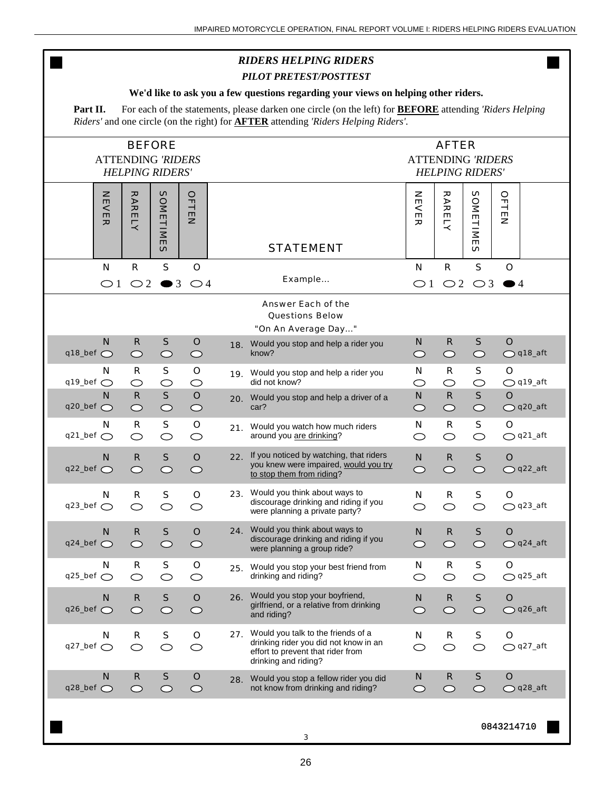|                                   | <b>RIDERS HELPING RIDERS</b><br><b>PILOT PRETEST/POSTTEST</b> |                                                                     |                              |     |                                                                                                                                                                                                                   |                          |                             |                                                    |                                          |
|-----------------------------------|---------------------------------------------------------------|---------------------------------------------------------------------|------------------------------|-----|-------------------------------------------------------------------------------------------------------------------------------------------------------------------------------------------------------------------|--------------------------|-----------------------------|----------------------------------------------------|------------------------------------------|
|                                   |                                                               |                                                                     |                              |     | We'd like to ask you a few questions regarding your views on helping other riders.                                                                                                                                |                          |                             |                                                    |                                          |
| Part II.                          |                                                               |                                                                     |                              |     | For each of the statements, please darken one circle (on the left) for <b>BEFORE</b> attending <i>Riders Helping</i><br>Riders' and one circle (on the right) for <b>AFTER</b> attending 'Riders Helping Riders'. |                          |                             |                                                    |                                          |
|                                   |                                                               | <b>BEFORE</b><br><b>ATTENDING 'RIDERS</b><br><b>HELPING RIDERS'</b> |                              |     |                                                                                                                                                                                                                   |                          | <b>AFTER</b>                | <b>ATTENDING 'RIDERS</b><br><b>HELPING RIDERS'</b> |                                          |
| NEVER                             | RARELY                                                        | SOMETIMES                                                           | <b>OFTEN</b>                 |     | <b>STATEMENT</b>                                                                                                                                                                                                  | NEVER                    | RARELY                      | SOMETIMES                                          | <b>OFTEN</b>                             |
| N<br>$\bigcirc$ 1                 | $\mathbf R$                                                   | $\mathsf{s}$<br>$\bigcirc$ 2 $\bullet$ 3                            | $\mathbf{o}$<br>$\bigcirc$ 4 |     | Example                                                                                                                                                                                                           | N<br>$\bigcirc$ 1        | $\mathbf R$<br>$\bigcirc$ 2 | $\mathsf{s}$                                       | $\mathbf{o}$<br>$\bigcirc$ 3 $\bullet$ 4 |
|                                   |                                                               |                                                                     |                              |     | <b>Answer Each of the</b><br><b>Questions Below</b>                                                                                                                                                               |                          |                             |                                                    |                                          |
| N<br>$q18$ _bef $\bigcirc$        | R<br>$\circ$                                                  | S<br>$\circ$                                                        | $\mathbf{o}$<br>$\circ$      |     | "On An Average Day"<br>18. Would you stop and help a rider you<br>know?                                                                                                                                           | N<br>$\circ$             | R<br>$\circ$                | S<br>$\circ$                                       | $\mathbf O$<br>$O$ q18_aft               |
| N<br>q19_bef $\bigcirc$           | R<br>$\circ$                                                  | $\mathsf{s}$<br>$\bigcirc$                                          | O<br>$\circ$                 |     | 19. Would you stop and help a rider you<br>did not know?                                                                                                                                                          | N<br>$\circ$             | R<br>$\circ$                | S<br>$\circ$                                       | $\mathbf{o}$<br>$\bigcirc$ q19_aft       |
| <b>N</b><br>$q20$ _bef $\bigcirc$ | $\mathbf R$<br>$\circ$                                        | $\mathbf{s}$<br>$\circ$                                             | $\mathbf{o}$<br>$\circ$      |     | 20. Would you stop and help a driver of a<br>car?                                                                                                                                                                 | N<br>$\circ$             | $\mathbf R$<br>$\circ$      | $\mathbf{s}$<br>$\circ$                            | $\mathbf{o}$<br>$O$ q20_aft              |
| N<br>$q21$ _bef $\bigcirc$        | R<br>$\bigcirc$                                               | S<br>$\circ$                                                        | O<br>$\bigcirc$              |     | 21. Would you watch how much riders<br>around you are drinking?                                                                                                                                                   | N<br>$\bigcirc$          | R.<br>$\circlearrowright$   | ${\sf s}$<br>$\circ$                               | O<br>$\bigcirc$ q21_aft                  |
| N<br>$q22$ _bef $\bigcirc$        | R<br>◯                                                        | ${\sf S}$<br>$\circ$                                                | $\mathbf{o}$<br>$\bigcirc$   | 22. | If you noticed by watching, that riders<br>you knew were impaired, would you try<br>to stop them from riding?                                                                                                     | $\mathbf N$<br>$\circ$   | R<br>◯                      | ${\sf s}$<br>$\bigcirc$                            | $\mathbf{o}$<br>$O$ q22_aft              |
| N<br>$q23$ _bef $\bigcirc$        | ${\sf R}$<br>◯                                                | S<br>$\bigcirc$                                                     | $\mathbf{o}$<br>$\circ$      | 23. | Would you think about ways to<br>discourage drinking and riding if you<br>were planning a private party?                                                                                                          | N<br>$\bigcirc$          | R<br>$\circlearrowright$    | S<br>$\circ$                                       | O<br>$\bigcirc$ q23_aft                  |
| N<br>$q24$ _bef $\bigcirc$        | R<br>$\circ$                                                  | ${\sf s}$<br>$\circ$                                                | $\mathbf{o}$<br>$\circ$      |     | 24. Would you think about ways to<br>discourage drinking and riding if you<br>were planning a group ride?                                                                                                         | N<br>$\circ$             | R<br>$\circ$                | $\mathsf{s}$<br>$\circ$                            | $\mathbf{o}$<br>$Q$ q24_aft              |
| N<br>$q25$ _bef $\bigcirc$        | R<br>$\circ$                                                  | S<br>$\circ$                                                        | $\mathbf O$<br>$\bigcirc$    |     | 25. Would you stop your best friend from<br>drinking and riding?                                                                                                                                                  | N<br>$\bigcirc$          | R<br>$\circ$                | ${\sf s}$<br>$\circ$                               | O<br>$\bigcirc$ q25_aft                  |
| N<br>$q26$ <sub>-bef</sub>        | R<br>$\circ$                                                  | ${\sf S}$<br>$\circ$                                                | $\mathbf{o}$<br>$\circ$      |     | 26. Would you stop your boyfriend,<br>girlfriend, or a relative from drinking<br>and riding?                                                                                                                      | ${\bf N}$<br>$\circ$     | R<br>$\circ$                | ${\sf s}$<br>$\circ$                               | $\mathbf{o}$<br>$Q$ q26_aft              |
| N<br>$q27$ _bef $\bigcirc$        | R<br>$\circ$                                                  | S<br>$\bigcirc$                                                     | $\mathbf O$<br>$\bigcirc$    |     | 27. Would you talk to the friends of a<br>drinking rider you did not know in an<br>effort to prevent that rider from<br>drinking and riding?                                                                      | N<br>$\circlearrowright$ | $\mathsf R$<br>$\bigcirc$   | ${\sf s}$<br>$\bigcirc$                            | $\mathbf O$<br>$\bigcirc$ q27_aft        |
| N<br>$q28$ _bef $\bigcirc$        | R<br>$\circ$                                                  | $\mathbf{s}$<br>$\circ$                                             | $\mathbf{o}$<br>$\circ$      | 28. | Would you stop a fellow rider you did<br>not know from drinking and riding?                                                                                                                                       | N<br>$\circ$             | R<br>$\circ$                | $\mathbf{s}$<br>$\circ$                            | $\mathbf O$<br>$O$ q28_aft               |
|                                   |                                                               |                                                                     |                              |     |                                                                                                                                                                                                                   |                          |                             |                                                    | 0843214710                               |

3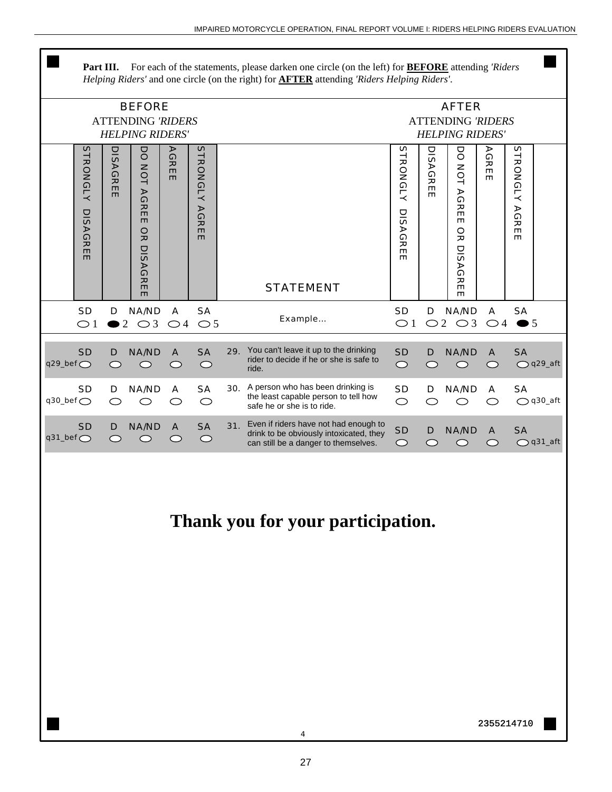

**Part III.** For each of the statements, please darken one circle (on the left) for **BEFORE** attending *'Riders Helping Riders'* and one circle (on the right) for **AFTER** attending *'Riders Helping Riders'*.

## **Thank you for your participation.**

4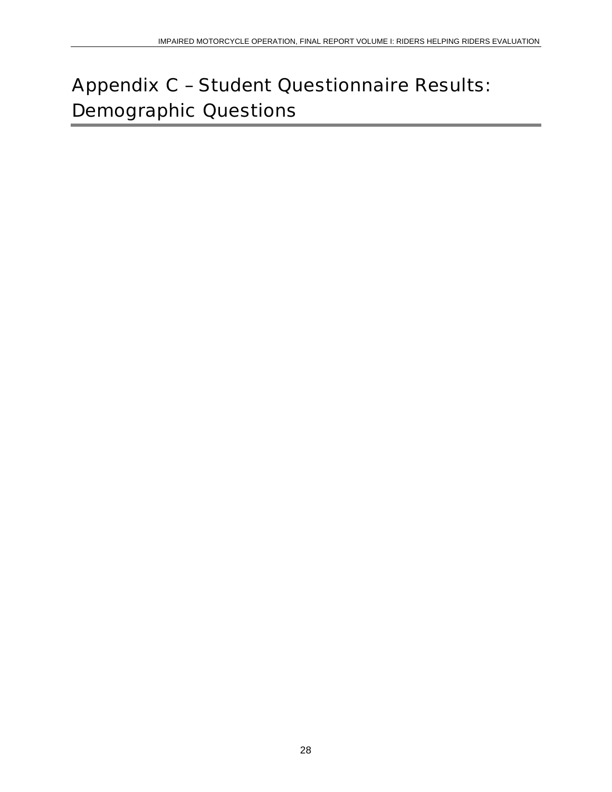## <span id="page-33-0"></span>Appendix C – Student Questionnaire Results: Demographic Questions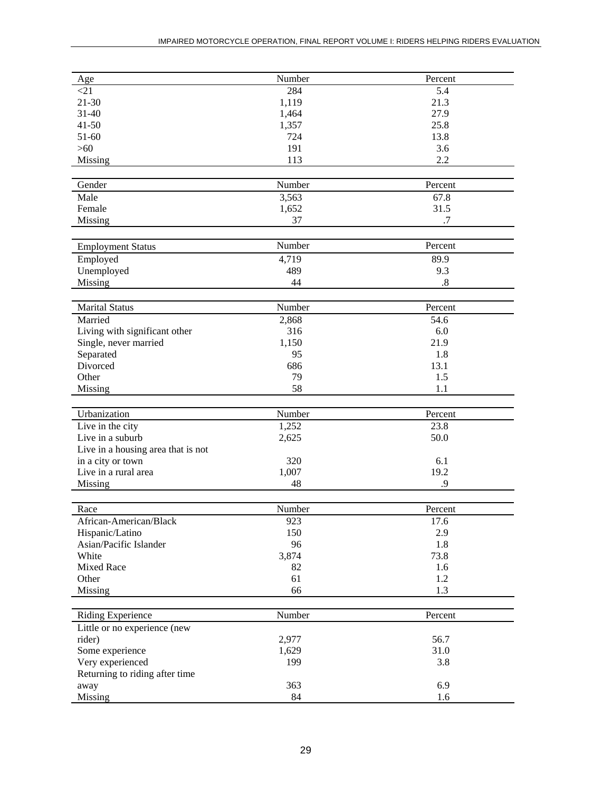| Age                                | Number | Percent |
|------------------------------------|--------|---------|
| <21                                | 284    | 5.4     |
| 21-30                              | 1,119  | 21.3    |
| $31 - 40$                          | 1,464  | 27.9    |
| $41 - 50$                          | 1,357  | 25.8    |
| $51-60$                            | 724    | 13.8    |
| $>60$                              | 191    | 3.6     |
| Missing                            | 113    | 2.2     |
|                                    |        |         |
| Gender                             | Number | Percent |
| Male                               | 3,563  | 67.8    |
| Female                             | 1,652  | 31.5    |
| Missing                            | 37     | .7      |
|                                    |        |         |
| <b>Employment Status</b>           | Number | Percent |
| Employed                           | 4,719  | 89.9    |
| Unemployed                         | 489    | 9.3     |
| Missing                            | 44     | .8      |
|                                    |        |         |
| <b>Marital Status</b>              | Number | Percent |
| Married                            | 2,868  | 54.6    |
| Living with significant other      | 316    | 6.0     |
| Single, never married              | 1,150  | 21.9    |
| Separated                          | 95     | 1.8     |
| Divorced                           | 686    | 13.1    |
| Other                              | 79     | 1.5     |
| Missing                            | 58     | 1.1     |
|                                    |        |         |
| Urbanization                       | Number | Percent |
| Live in the city                   | 1,252  | 23.8    |
| Live in a suburb                   | 2,625  | 50.0    |
| Live in a housing area that is not |        |         |
| in a city or town                  | 320    | 6.1     |
| Live in a rural area               | 1,007  | 19.2    |
| Missing                            | 48     | .9      |
|                                    |        |         |
| Race                               | Number | Percent |
| African-American/Black             | 923    | 17.6    |
| Hispanic/Latino                    | 150    | 2.9     |
| Asian/Pacific Islander             | 96     | 1.8     |
| White                              | 3,874  | 73.8    |
| Mixed Race                         | 82     | 1.6     |
| Other                              | 61     | 1.2     |
| Missing                            | 66     | 1.3     |
|                                    |        |         |
| <b>Riding Experience</b>           | Number | Percent |
| Little or no experience (new       |        |         |
| rider)                             | 2,977  | 56.7    |
| Some experience                    | 1,629  | 31.0    |
| Very experienced                   | 199    | 3.8     |
| Returning to riding after time     |        |         |
| away                               | 363    | 6.9     |
| Missing                            | 84     | 1.6     |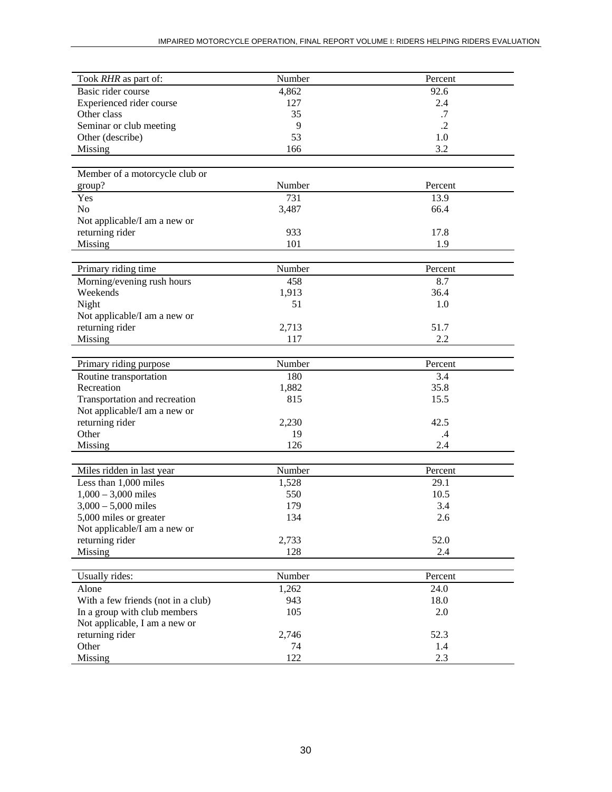| Took RHR as part of:               | Number | Percent    |
|------------------------------------|--------|------------|
| Basic rider course                 | 4,862  | 92.6       |
| Experienced rider course           | 127    | 2.4        |
| Other class                        | 35     | $\cdot$ .7 |
| Seminar or club meeting            | 9      | $\cdot$ .2 |
| Other (describe)                   | 53     | 1.0        |
| Missing                            | 166    | 3.2        |
|                                    |        |            |
| Member of a motorcycle club or     |        |            |
| group?                             | Number | Percent    |
| Yes                                | 731    | 13.9       |
| N <sub>o</sub>                     | 3,487  | 66.4       |
| Not applicable/I am a new or       |        |            |
| returning rider                    | 933    | 17.8       |
| Missing                            | 101    | 1.9        |
|                                    |        |            |
| Primary riding time                | Number | Percent    |
| Morning/evening rush hours         | 458    | 8.7        |
| Weekends                           | 1,913  | 36.4       |
| Night                              | 51     | 1.0        |
| Not applicable/I am a new or       |        |            |
| returning rider                    | 2,713  | 51.7       |
| Missing                            | 117    | 2.2        |
|                                    |        |            |
| Primary riding purpose             | Number | Percent    |
| Routine transportation             | 180    | 3.4        |
| Recreation                         | 1,882  | 35.8       |
| Transportation and recreation      | 815    | 15.5       |
| Not applicable/I am a new or       |        |            |
| returning rider                    | 2,230  | 42.5       |
| Other                              | 19     | $\cdot$ 4  |
| Missing                            | 126    | 2.4        |
|                                    |        |            |
| Miles ridden in last year          | Number | Percent    |
| Less than 1,000 miles              | 1,528  | 29.1       |
| $1,000 - 3,000$ miles              | 550    | 10.5       |
| $3,000 - 5,000$ miles              | 179    | 3.4        |
| 5,000 miles or greater             | 134    | 2.6        |
| Not applicable/I am a new or       |        |            |
| returning rider                    | 2,733  | 52.0       |
| Missing                            | 128    | 2.4        |
|                                    |        |            |
| Usually rides:                     | Number | Percent    |
| Alone                              | 1,262  | 24.0       |
| With a few friends (not in a club) | 943    | 18.0       |
| In a group with club members       | 105    | 2.0        |
| Not applicable, I am a new or      |        |            |
| returning rider                    | 2,746  | 52.3       |
| Other                              | 74     | 1.4        |
| Missing                            | 122    | 2.3        |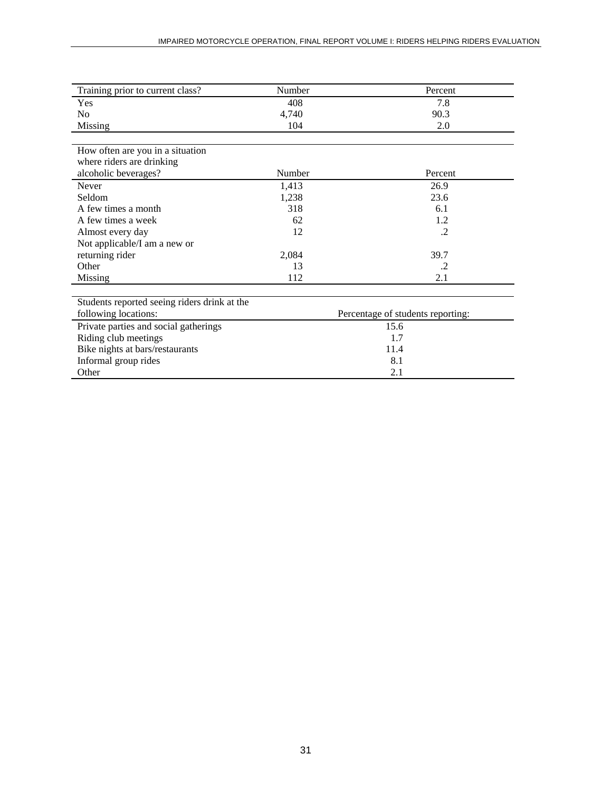| Training prior to current class?             | Number | Percent                           |
|----------------------------------------------|--------|-----------------------------------|
| Yes                                          | 408    | 7.8                               |
| N <sub>0</sub>                               | 4,740  | 90.3                              |
| Missing                                      | 104    | 2.0                               |
|                                              |        |                                   |
| How often are you in a situation             |        |                                   |
| where riders are drinking                    |        |                                   |
| alcoholic beverages?                         | Number | Percent                           |
| Never                                        | 1,413  | 26.9                              |
| Seldom                                       | 1,238  | 23.6                              |
| A few times a month                          | 318    | 6.1                               |
| A few times a week                           | 62     | 1.2                               |
| Almost every day                             | 12     | $\cdot$                           |
| Not applicable/I am a new or                 |        |                                   |
| returning rider                              | 2,084  | 39.7                              |
| Other                                        | 13     | $\cdot$ .2                        |
| Missing                                      | 112    | 2.1                               |
|                                              |        |                                   |
| Students reported seeing riders drink at the |        |                                   |
| following locations:                         |        | Percentage of students reporting: |
| Private parties and social gatherings        |        | 15.6                              |
| Riding club meetings                         |        | 1.7                               |
| Bike nights at bars/restaurants              | 11.4   |                                   |
| Informal group rides                         |        | 8.1                               |
| Other                                        |        | 2.1                               |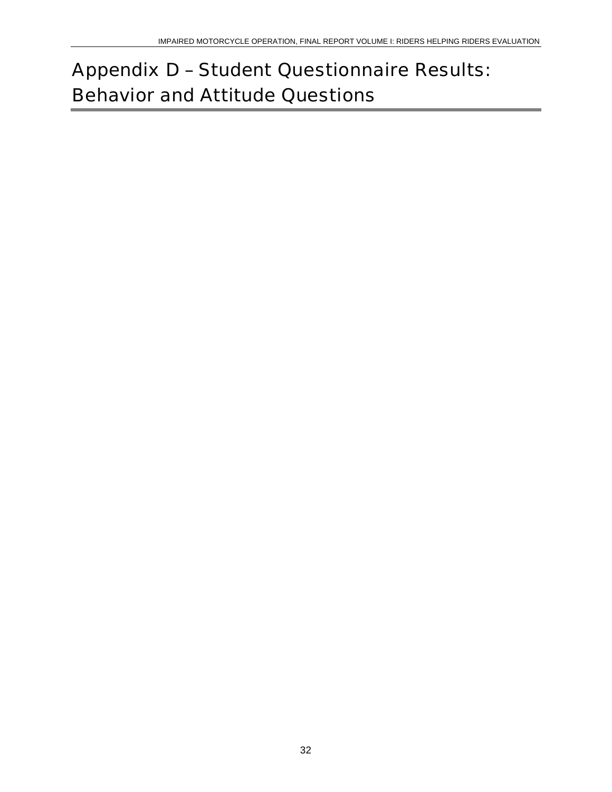## <span id="page-37-0"></span>Appendix D – Student Questionnaire Results: Behavior and Attitude Questions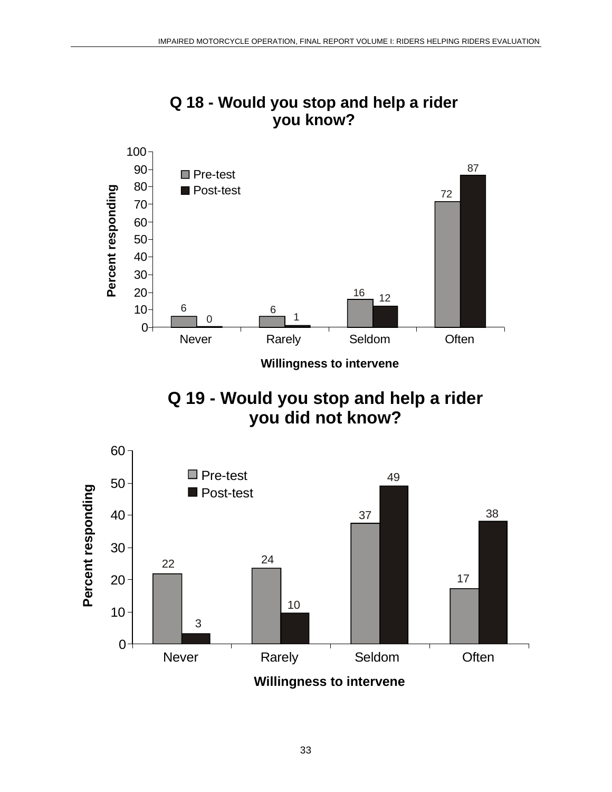

**Q 18 - Would you stop and help a rider you know?** 

**Willingness to intervene** 

**Q 19 - Would you stop and help a rider you did not know?** 

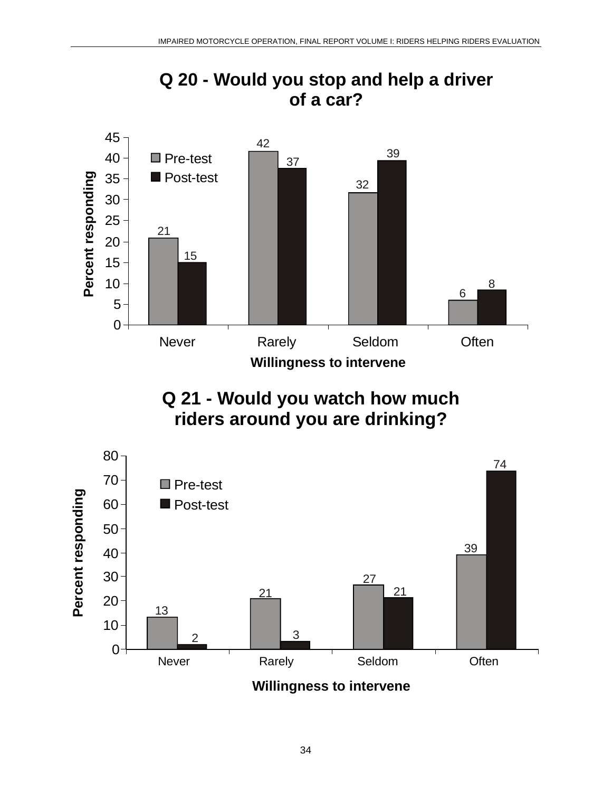

**Q 20 - Would you stop and help a driver of a car?**

**Q 21 - Would you watch how much riders around you are drinking?** 

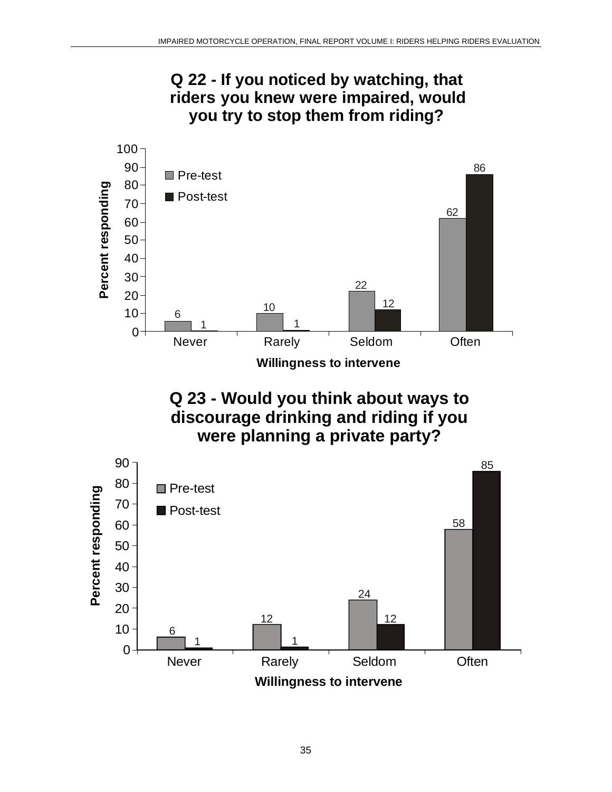

**Willingness to intervene** 

### **Q 23 - Would you think about ways to discourage drinking and riding if you were planning a private party?**



**Q 22 - If you noticed by watching, that**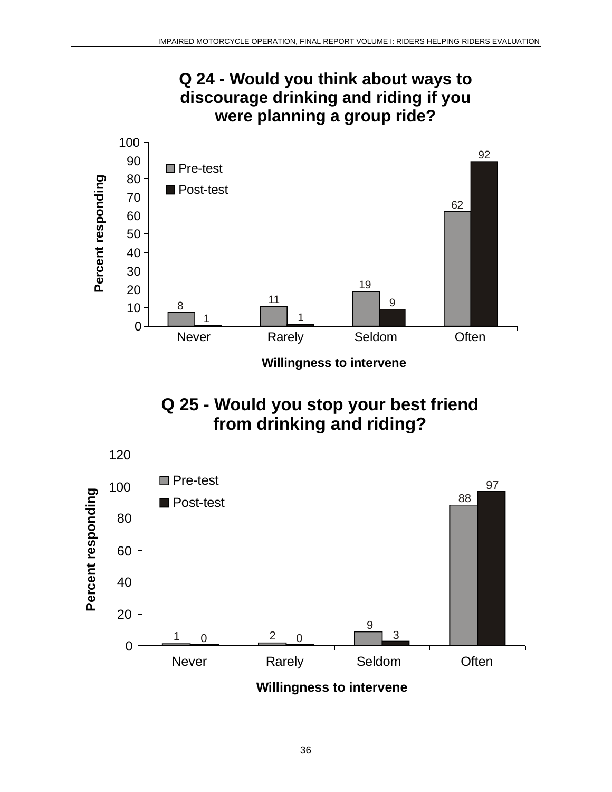

**Willingness to intervene** 

**Q 25 - Would you stop your best friend from drinking and riding?** 

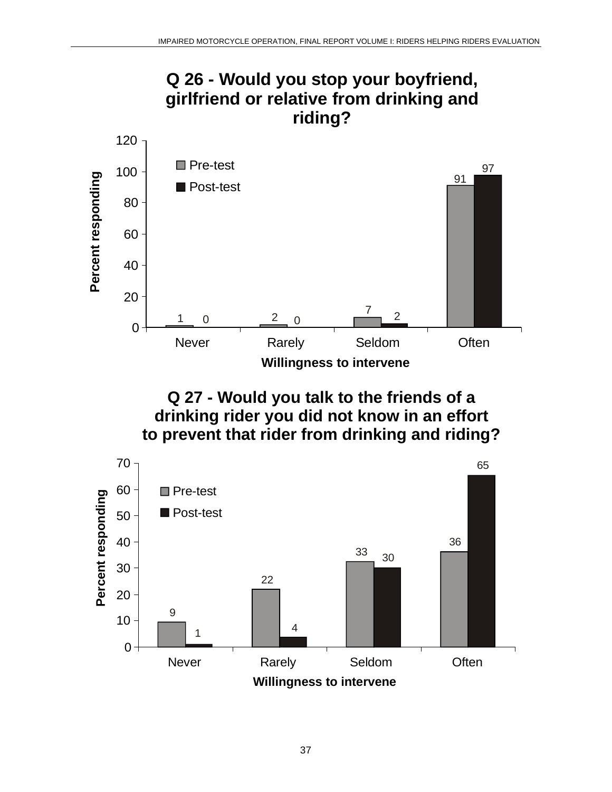

#### **drinking rider you did not know in an effort to prevent that rider from drinking and riding? Q 27 - Would you talk to the friends of a**

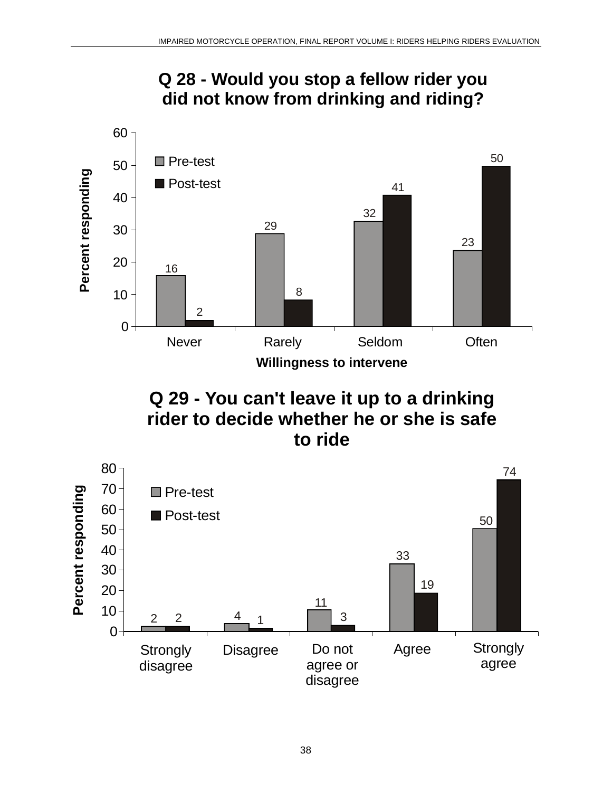

### **Q 28 - Would you stop a fellow rider you did not know from drinking and riding?**

 **rider to decide whether he or she is safe Q 29 - You can't leave it up to a drinking to ride** 

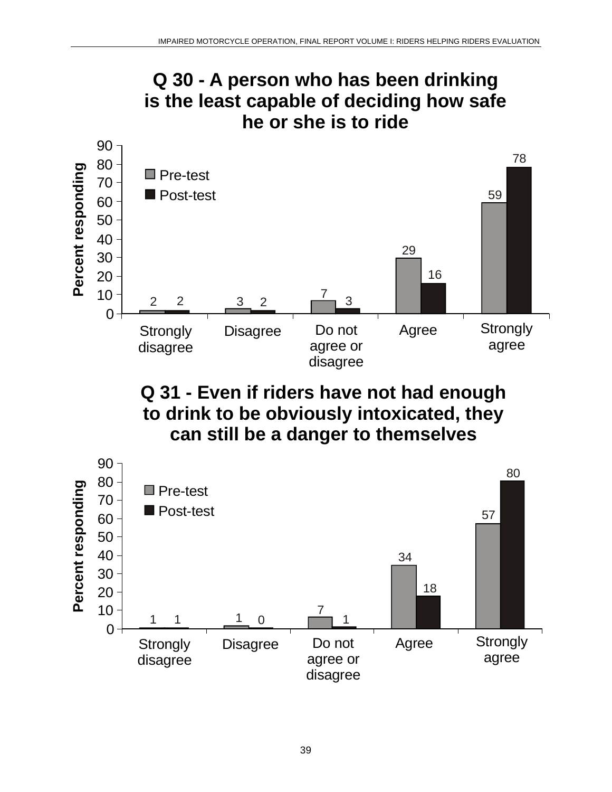



 **to drink to be obviously intoxicated, they can still be a danger to themselves Q 31 - Even if riders have not had enough**

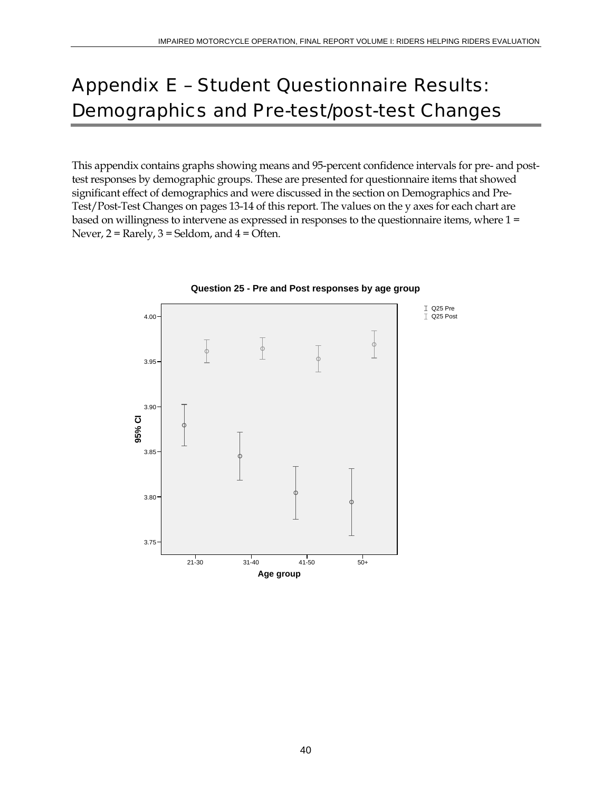## <span id="page-45-0"></span>Appendix E – Student Questionnaire Results: Demographics and Pre-test/post-test Changes

This appendix contains graphs showing means and 95-percent confidence intervals for pre- and posttest responses by demographic groups. These are presented for questionnaire items that showed significant effect of demographics and were discussed in the section on Demographics and Pre-Test/Post-Test Changes on pages 13-14 of this report. The values on the y axes for each chart are based on willingness to intervene as expressed in responses to the questionnaire items, where 1 = Never,  $2 =$  Rarely,  $3 =$  Seldom, and  $4 =$  Often.



**Question 25 - Pre and Post responses by age group**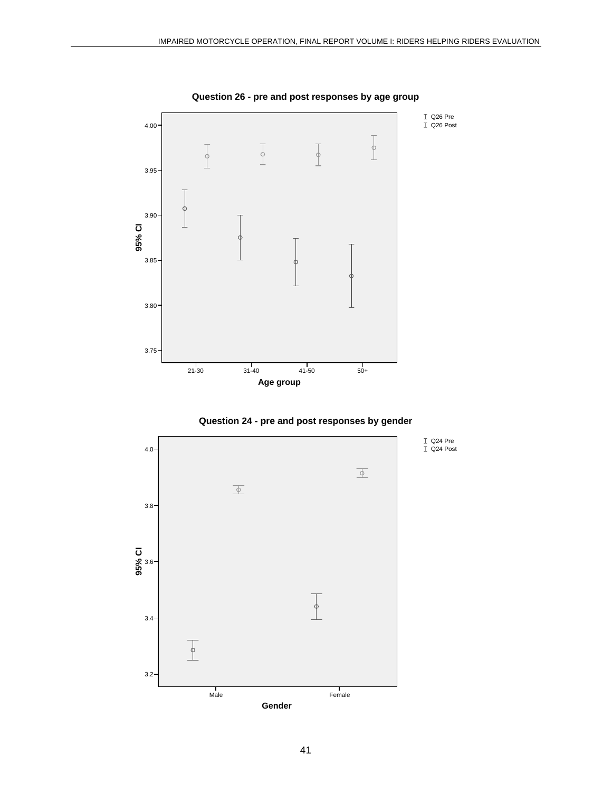

**Question 24 - pre and post responses by gender** 



41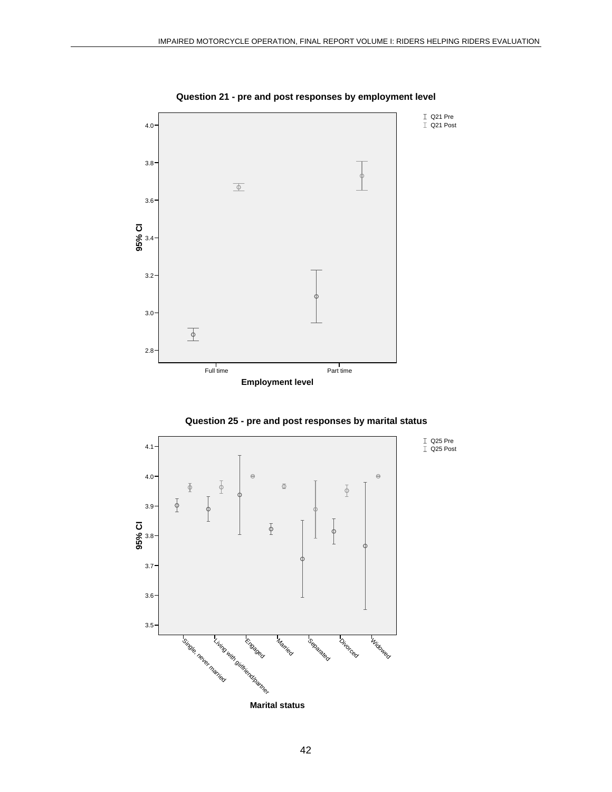

**Question 21 - pre and post responses by employment level** 



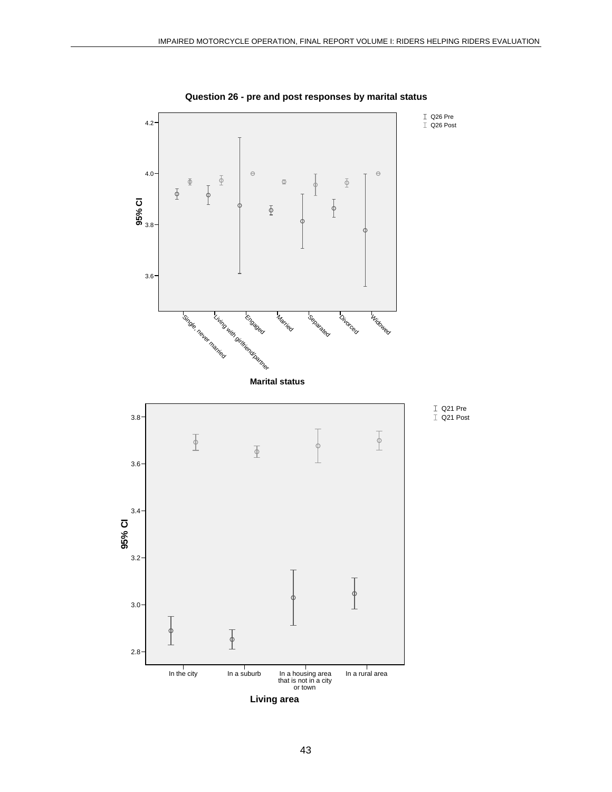

**Question 26 - pre and post responses by marital status**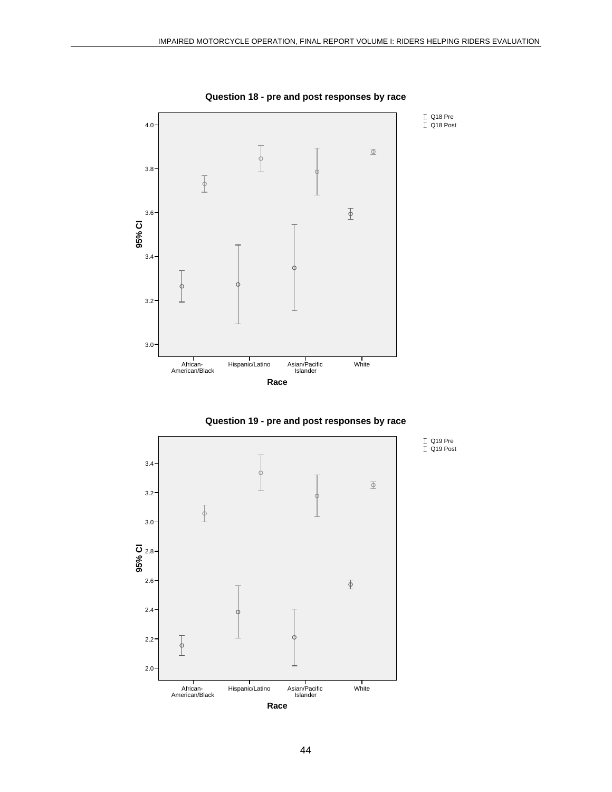

**Question 18 - pre and post responses by race** 





44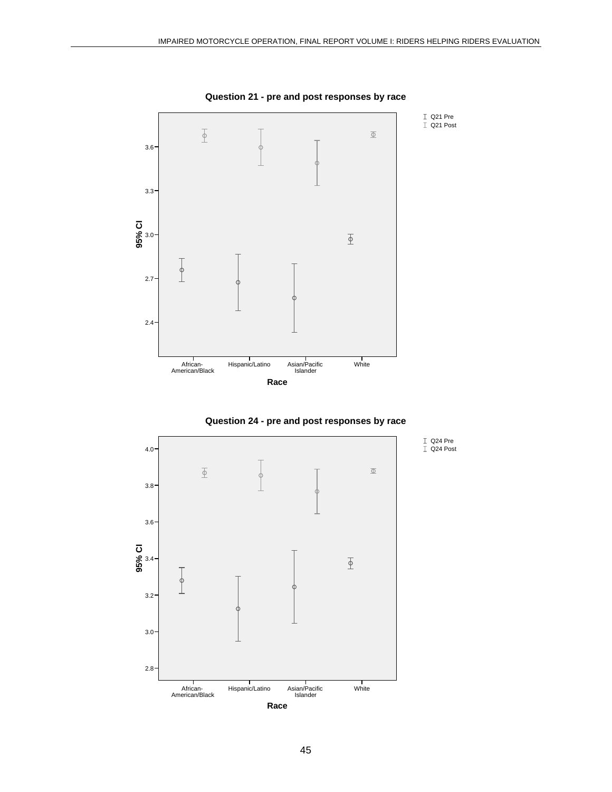

**Question 21 - pre and post responses by race** 





45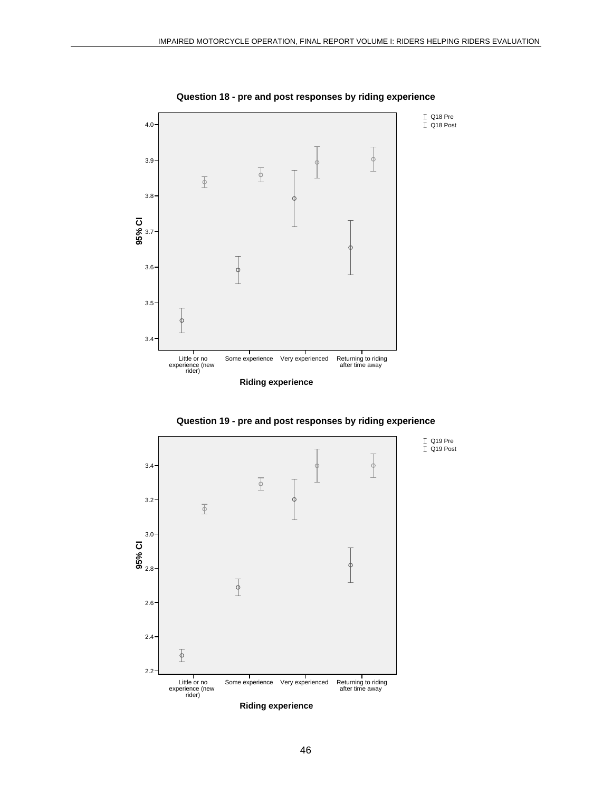

**Question 18 - pre and post responses by riding experience** 

**Question 19 - pre and post responses by riding experience** 

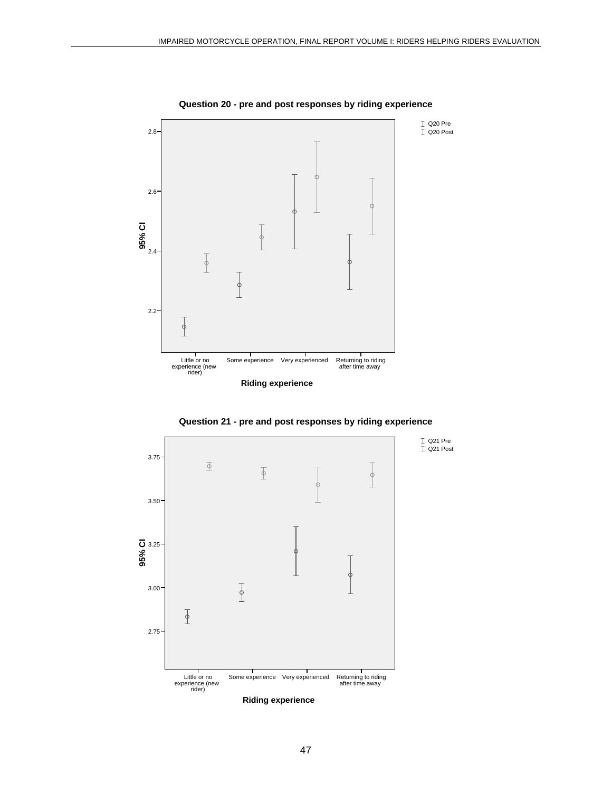

**Question 20 - pre and post responses by riding experience** 



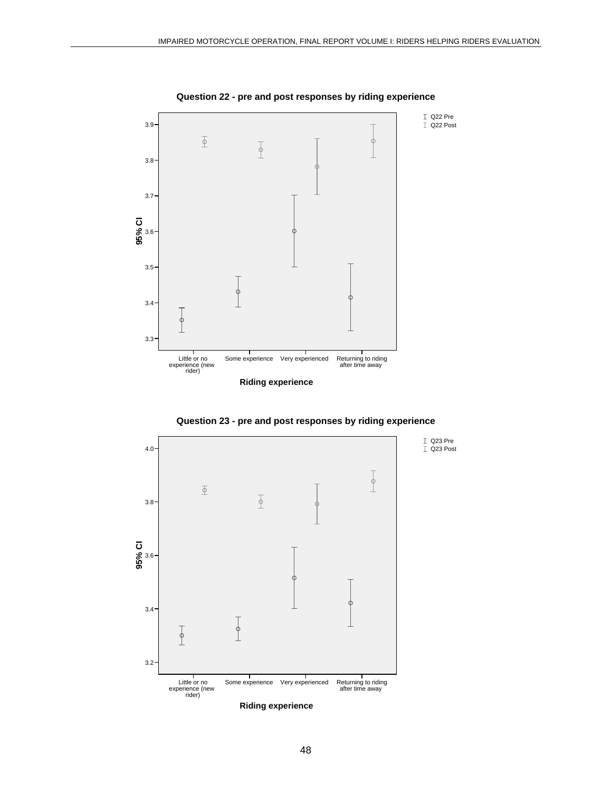

**Question 22 - pre and post responses by riding experience** 

**Question 23 - pre and post responses by riding experience** 

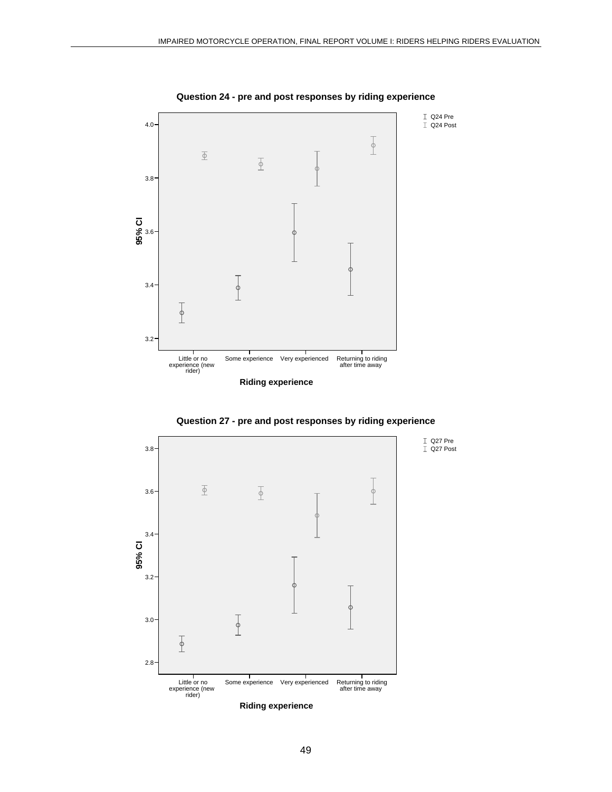

**Question 24 - pre and post responses by riding experience** 

**Question 27 - pre and post responses by riding experience** 

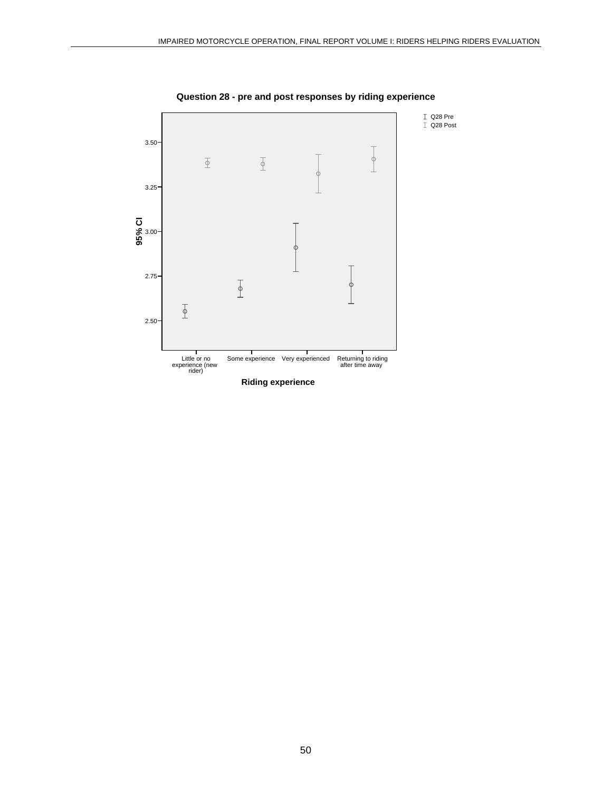<span id="page-55-0"></span>

**Question 28 - pre and post responses by riding experience**